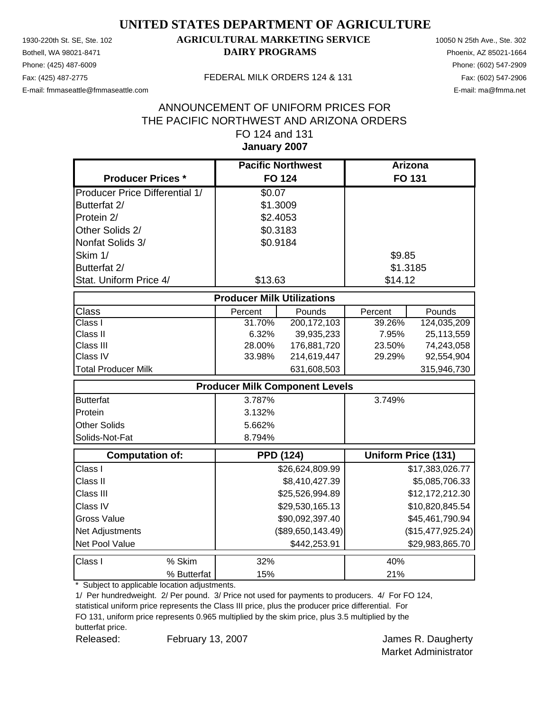Phone: (425) 487-6009 Phone: (602) 547-2909 E-mail: fmmaseattle@fmmaseattle.com E-mail: ma@fmma.net

### 1930-220th St. SE, Ste. 102 **AGRICULTURAL MARKETING SERVICE** 10050 N 25th Ave., Ste. 302 Bothell, WA 98021-8471 **DAIRY PROGRAMS** Phoenix, AZ 85021-1664

#### Fax: (425) 487-2775 FEDERAL MILK ORDERS 124 & 131

### **January 2007** ANNOUNCEMENT OF UNIFORM PRICES FOR THE PACIFIC NORTHWEST AND ARIZONA ORDERS FO 124 and 131

|                                       | <b>Pacific Northwest</b> |                                       | <b>Arizona</b> |                     |  |  |  |
|---------------------------------------|--------------------------|---------------------------------------|----------------|---------------------|--|--|--|
| <b>Producer Prices *</b>              |                          | <b>FO 124</b>                         |                | <b>FO 131</b>       |  |  |  |
| <b>Producer Price Differential 1/</b> | \$0.07                   |                                       |                |                     |  |  |  |
| Butterfat 2/                          |                          | \$1.3009                              |                |                     |  |  |  |
| Protein 2/                            |                          | \$2.4053                              |                |                     |  |  |  |
| Other Solids 2/                       |                          | \$0.3183                              |                |                     |  |  |  |
| Nonfat Solids 3/                      |                          | \$0.9184                              |                |                     |  |  |  |
| Skim 1/                               |                          |                                       | \$9.85         |                     |  |  |  |
| Butterfat 2/                          |                          |                                       |                | \$1.3185            |  |  |  |
| Stat. Uniform Price 4/                | \$13.63                  |                                       | \$14.12        |                     |  |  |  |
| <b>Producer Milk Utilizations</b>     |                          |                                       |                |                     |  |  |  |
| <b>Class</b>                          | Percent                  | Pounds                                | Percent        | Pounds              |  |  |  |
| Class I                               | 31.70%                   | 200, 172, 103                         | 39.26%         | 124,035,209         |  |  |  |
| Class II                              | 6.32%                    | 39,935,233                            | 7.95%          | 25,113,559          |  |  |  |
| Class III                             | 28.00%                   | 176,881,720                           | 23.50%         | 74,243,058          |  |  |  |
| Class IV                              | 33.98%                   | 214,619,447                           | 29.29%         | 92,554,904          |  |  |  |
| <b>Total Producer Milk</b>            |                          | 631,608,503                           |                | 315,946,730         |  |  |  |
|                                       |                          | <b>Producer Milk Component Levels</b> |                |                     |  |  |  |
| <b>Butterfat</b>                      | 3.787%                   |                                       | 3.749%         |                     |  |  |  |
| Protein                               | 3.132%                   |                                       |                |                     |  |  |  |
| <b>Other Solids</b>                   | 5.662%                   |                                       |                |                     |  |  |  |
| Solids-Not-Fat                        | 8.794%                   |                                       |                |                     |  |  |  |
| <b>Computation of:</b>                |                          | <b>PPD (124)</b>                      |                | Uniform Price (131) |  |  |  |
| Class I                               |                          | \$26,624,809.99                       |                | \$17,383,026.77     |  |  |  |
| Class II                              |                          | \$8,410,427.39                        |                | \$5,085,706.33      |  |  |  |
| Class III                             |                          | \$25,526,994.89                       |                | \$12,172,212.30     |  |  |  |
| Class IV                              |                          | \$29,530,165.13                       |                | \$10,820,845.54     |  |  |  |
| <b>Gross Value</b>                    |                          | \$90,092,397.40                       |                | \$45,461,790.94     |  |  |  |
| Net Adjustments                       |                          | (\$89,650,143.49)                     |                | (\$15,477,925.24)   |  |  |  |
| Net Pool Value                        |                          | \$442,253.91                          |                | \$29,983,865.70     |  |  |  |
| Class I<br>% Skim                     | 32%                      |                                       | 40%            |                     |  |  |  |
| % Butterfat                           | 15%                      |                                       | 21%            |                     |  |  |  |

\* Subject to applicable location adjustments.

1/ Per hundredweight. 2/ Per pound. 3/ Price not used for payments to producers. 4/ For FO 124,

statistical uniform price represents the Class III price, plus the producer price differential. For FO 131, uniform price represents 0.965 multiplied by the skim price, plus 3.5 multiplied by the butterfat price.

Released: February 13, 2007 **Fig. 2007** James R. Daugherty February 13, 2007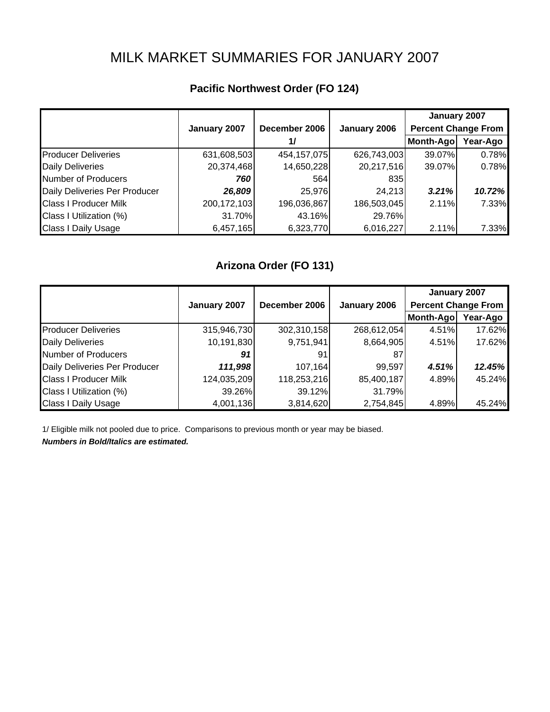# MILK MARKET SUMMARIES FOR JANUARY 2007

|  | Pacific Northwest Order (FO 124) |  |  |
|--|----------------------------------|--|--|
|--|----------------------------------|--|--|

|                               |               |               |              | January 2007               |          |
|-------------------------------|---------------|---------------|--------------|----------------------------|----------|
|                               | January 2007  | December 2006 | January 2006 | <b>Percent Change From</b> |          |
|                               |               | 1/            |              | Month-Ago                  | Year-Ago |
| <b>Producer Deliveries</b>    | 631,608,503   | 454, 157, 075 | 626,743,003  | 39.07%                     | 0.78%    |
| <b>Daily Deliveries</b>       | 20,374,468    | 14,650,228    | 20,217,516   | 39.07%                     | 0.78%    |
| Number of Producers           | 760           | 564           | 835          |                            |          |
| Daily Deliveries Per Producer | 26,809        | 25,976        | 24,213       | 3.21%                      | 10.72%   |
| <b>Class I Producer Milk</b>  | 200, 172, 103 | 196,036,867   | 186,503,045  | 2.11%                      | 7.33%    |
| Class I Utilization (%)       | 31.70%        | 43.16%        | 29.76%       |                            |          |
| <b>Class I Daily Usage</b>    | 6,457,165     | 6,323,770     | 6,016,227    | 2.11%                      | 7.33%    |

### **Arizona Order (FO 131)**

|                               |              |               |              | January 2007               |          |
|-------------------------------|--------------|---------------|--------------|----------------------------|----------|
|                               | January 2007 | December 2006 | January 2006 | <b>Percent Change From</b> |          |
|                               |              |               |              | Month-Ago                  | Year-Ago |
| <b>Producer Deliveries</b>    | 315,946,730  | 302,310,158   | 268,612,054  | 4.51%                      | 17.62%   |
| <b>Daily Deliveries</b>       | 10,191,830   | 9,751,941     | 8,664,905    | 4.51%                      | 17.62%   |
| Number of Producers           | 91           | 91            | 87           |                            |          |
| Daily Deliveries Per Producer | 111,998      | 107,164       | 99,597       | 4.51%                      | 12.45%   |
| <b>Class I Producer Milk</b>  | 124,035,209  | 118,253,216   | 85,400,187   | 4.89%                      | 45.24%   |
| Class I Utilization (%)       | 39.26%       | 39.12%        | 31.79%       |                            |          |
| <b>Class I Daily Usage</b>    | 4,001,136    | 3,814,620     | 2,754,845    | 4.89%                      | 45.24%   |

1/ Eligible milk not pooled due to price. Comparisons to previous month or year may be biased.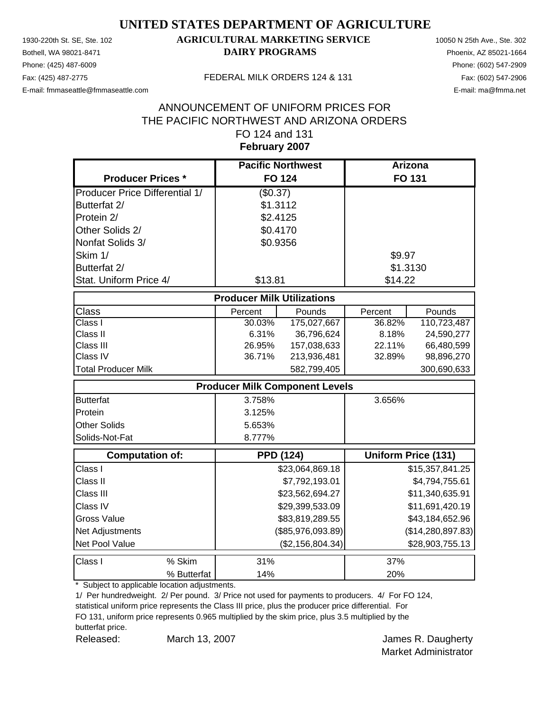Phone: (425) 487-6009 Phone: (602) 547-2909

### 1930-220th St. SE, Ste. 102 **AGRICULTURAL MARKETING SERVICE** 10050 N 25th Ave., Ste. 302 Bothell, WA 98021-8471 **DAIRY PROGRAMS** Phoenix, AZ 85021-1664

E-mail: fmmaseattle@fmmaseattle.com E-mail: ma@fmma.net

#### Fax: (425) 487-2775 FEDERAL MILK ORDERS 124 & 131

### **February 2007** ANNOUNCEMENT OF UNIFORM PRICES FOR THE PACIFIC NORTHWEST AND ARIZONA ORDERS FO 124 and 131

|                                       | <b>Pacific Northwest</b> |                                       | Arizona       |                            |  |  |  |
|---------------------------------------|--------------------------|---------------------------------------|---------------|----------------------------|--|--|--|
| <b>Producer Prices *</b>              |                          | <b>FO 124</b>                         | <b>FO 131</b> |                            |  |  |  |
| <b>Producer Price Differential 1/</b> | (\$0.37)                 |                                       |               |                            |  |  |  |
| Butterfat 2/                          | \$1.3112                 |                                       |               |                            |  |  |  |
| Protein 2/                            | \$2.4125                 |                                       |               |                            |  |  |  |
| Other Solids 2/                       | \$0.4170                 |                                       |               |                            |  |  |  |
| Nonfat Solids 3/                      | \$0.9356                 |                                       |               |                            |  |  |  |
| Skim 1/                               |                          |                                       | \$9.97        |                            |  |  |  |
| Butterfat 2/                          |                          |                                       | \$1.3130      |                            |  |  |  |
| Stat. Uniform Price 4/                | \$13.81                  |                                       | \$14.22       |                            |  |  |  |
| <b>Producer Milk Utilizations</b>     |                          |                                       |               |                            |  |  |  |
| <b>Class</b>                          | Percent                  | Pounds                                | Percent       | Pounds                     |  |  |  |
| Class I                               | 30.03%                   | 175,027,667                           | 36.82%        | 110,723,487                |  |  |  |
| Class II                              | 6.31%                    | 36,796,624                            | 8.18%         | 24,590,277                 |  |  |  |
| Class III                             | 26.95%                   | 157,038,633                           | 22.11%        | 66,480,599                 |  |  |  |
| Class IV                              | 36.71%                   | 213,936,481                           | 32.89%        | 98,896,270                 |  |  |  |
| <b>Total Producer Milk</b>            |                          | 582,799,405                           |               | 300,690,633                |  |  |  |
|                                       |                          | <b>Producer Milk Component Levels</b> |               |                            |  |  |  |
| <b>Butterfat</b>                      | 3.758%                   |                                       | 3.656%        |                            |  |  |  |
| Protein                               | 3.125%                   |                                       |               |                            |  |  |  |
| <b>Other Solids</b>                   | 5.653%                   |                                       |               |                            |  |  |  |
| Solids-Not-Fat                        | 8.777%                   |                                       |               |                            |  |  |  |
| <b>Computation of:</b>                |                          | <b>PPD (124)</b>                      |               | <b>Uniform Price (131)</b> |  |  |  |
| Class I                               |                          | \$23,064,869.18                       |               | \$15,357,841.25            |  |  |  |
| Class II                              |                          | \$7,792,193.01                        |               | \$4,794,755.61             |  |  |  |
| Class III                             |                          | \$23,562,694.27                       |               | \$11,340,635.91            |  |  |  |
| Class IV                              |                          | \$29,399,533.09                       |               | \$11,691,420.19            |  |  |  |
| <b>Gross Value</b>                    |                          | \$83,819,289.55                       |               | \$43,184,652.96            |  |  |  |
| Net Adjustments                       |                          | (\$85,976,093.89)                     |               | (\$14,280,897.83)          |  |  |  |
| Net Pool Value                        |                          | (\$2,156,804.34)                      |               | \$28,903,755.13            |  |  |  |
| Class I<br>% Skim                     | 31%                      |                                       | 37%           |                            |  |  |  |
| % Butterfat                           | 14%                      |                                       | 20%           |                            |  |  |  |

\* Subject to applicable location adjustments.

1/ Per hundredweight. 2/ Per pound. 3/ Price not used for payments to producers. 4/ For FO 124,

statistical uniform price represents the Class III price, plus the producer price differential. For FO 131, uniform price represents 0.965 multiplied by the skim price, plus 3.5 multiplied by the butterfat price.

Released: March 13, 2007 **March 18, 2007 James R. Daugherty** March 13, 2007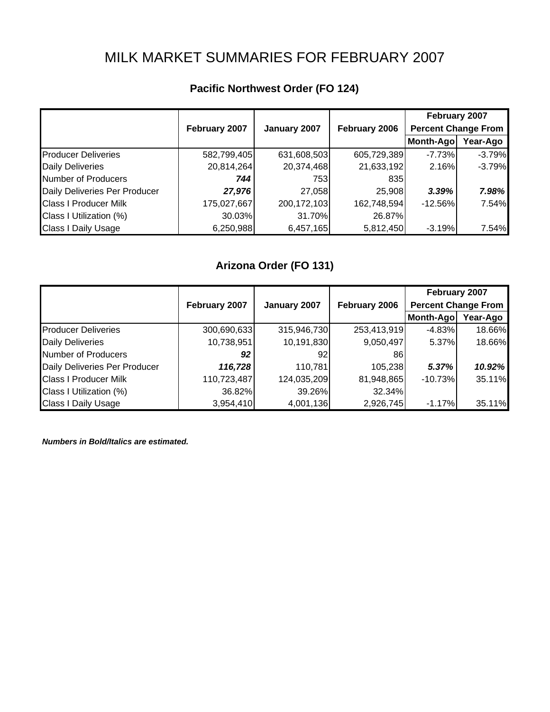# MILK MARKET SUMMARIES FOR FEBRUARY 2007

|                               |               |              |               | February 2007              |          |
|-------------------------------|---------------|--------------|---------------|----------------------------|----------|
|                               | February 2007 | January 2007 | February 2006 | <b>Percent Change From</b> |          |
|                               |               |              |               | Month-Ago                  | Year-Ago |
| <b>Producer Deliveries</b>    | 582,799,405   | 631,608,503  | 605,729,389   | $-7.73%$                   | $-3.79%$ |
| <b>Daily Deliveries</b>       | 20,814,264    | 20,374,468   | 21,633,192    | 2.16%                      | $-3.79%$ |
| <b>Number of Producers</b>    | 744           | 753I         | 8351          |                            |          |
| Daily Deliveries Per Producer | 27,976        | 27,058       | 25,908        | 3.39%                      | 7.98%    |
| <b>Class I Producer Milk</b>  | 175,027,667   | 200,172,103  | 162,748,594   | $-12.56%$                  | 7.54%    |
| Class I Utilization (%)       | 30.03%        | 31.70%       | 26.87%        |                            |          |
| Class I Daily Usage           | 6,250,988     | 6,457,165    | 5,812,450     | $-3.19%$                   | 7.54%    |

## **Pacific Northwest Order (FO 124)**

## **Arizona Order (FO 131)**

|                               |               |              |               | February 2007              |          |
|-------------------------------|---------------|--------------|---------------|----------------------------|----------|
|                               | February 2007 | January 2007 | February 2006 | <b>Percent Change From</b> |          |
|                               |               |              |               | Month-Ago                  | Year-Ago |
| <b>Producer Deliveries</b>    | 300,690,633   | 315,946,730  | 253,413,919   | $-4.83%$                   | 18.66%   |
| <b>Daily Deliveries</b>       | 10,738,951    | 10,191,830   | 9,050,497     | 5.37%                      | 18.66%   |
| Number of Producers           | 92            | 921          | 861           |                            |          |
| Daily Deliveries Per Producer | 116,728       | 110,781      | 105,238       | 5.37%                      | 10.92%   |
| <b>Class I Producer Milk</b>  | 110,723,487   | 124,035,209  | 81,948,865    | $-10.73%$                  | 35.11%   |
| Class I Utilization (%)       | 36.82%        | 39.26%       | 32.34%        |                            |          |
| <b>Class I Daily Usage</b>    | 3,954,410     | 4,001,136    | 2,926,745     | $-1.17%$                   | 35.11%   |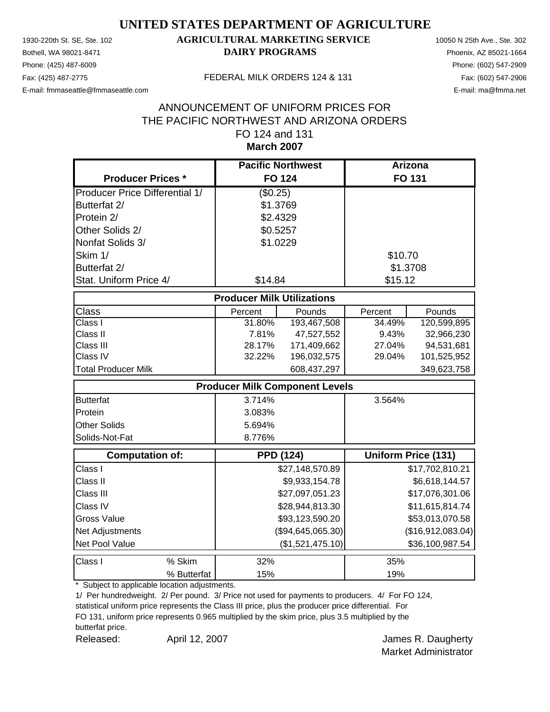Phone: (425) 487-6009 Phone: (602) 547-2909

### 1930-220th St. SE, Ste. 102 **AGRICULTURAL MARKETING SERVICE** 10050 N 25th Ave., Ste. 302 Bothell, WA 98021-8471 **DAIRY PROGRAMS** Phoenix, AZ 85021-1664

E-mail: fmmaseattle@fmmaseattle.com E-mail: ma@fmma.net

#### Fax: (425) 487-2775 FEDERAL MILK ORDERS 124 & 131

### **March 2007** ANNOUNCEMENT OF UNIFORM PRICES FOR THE PACIFIC NORTHWEST AND ARIZONA ORDERS FO 124 and 131

|                                       |                                       | <b>Pacific Northwest</b> |         | <b>Arizona</b>             |  |  |
|---------------------------------------|---------------------------------------|--------------------------|---------|----------------------------|--|--|
| <b>Producer Prices *</b>              |                                       | <b>FO 124</b>            |         | FO 131                     |  |  |
| <b>Producer Price Differential 1/</b> | (\$0.25)                              |                          |         |                            |  |  |
| Butterfat 2/                          |                                       | \$1.3769                 |         |                            |  |  |
| Protein 2/                            |                                       | \$2.4329                 |         |                            |  |  |
| Other Solids 2/                       |                                       | \$0.5257                 |         |                            |  |  |
| Nonfat Solids 3/                      |                                       | \$1.0229                 |         |                            |  |  |
| Skim 1/                               |                                       |                          | \$10.70 |                            |  |  |
| Butterfat 2/                          |                                       |                          |         | \$1.3708                   |  |  |
| Stat. Uniform Price 4/                | \$14.84                               |                          | \$15.12 |                            |  |  |
| <b>Producer Milk Utilizations</b>     |                                       |                          |         |                            |  |  |
| Class                                 | Percent                               | Pounds                   | Percent | Pounds                     |  |  |
| Class I                               | 31.80%                                | 193,467,508              | 34.49%  | 120,599,895                |  |  |
| Class II                              | 7.81%                                 | 47,527,552               | 9.43%   | 32,966,230                 |  |  |
| Class III                             | 28.17%                                | 171,409,662              | 27.04%  | 94,531,681                 |  |  |
| Class IV                              | 32.22%                                | 196,032,575              | 29.04%  | 101,525,952                |  |  |
| <b>Total Producer Milk</b>            |                                       | 608,437,297              |         | 349,623,758                |  |  |
|                                       | <b>Producer Milk Component Levels</b> |                          |         |                            |  |  |
| <b>Butterfat</b>                      | 3.714%                                |                          | 3.564%  |                            |  |  |
| Protein                               | 3.083%                                |                          |         |                            |  |  |
| <b>Other Solids</b>                   | 5.694%                                |                          |         |                            |  |  |
| Solids-Not-Fat                        | 8.776%                                |                          |         |                            |  |  |
| <b>Computation of:</b>                |                                       | <b>PPD (124)</b>         |         | <b>Uniform Price (131)</b> |  |  |
| Class I                               |                                       | \$27,148,570.89          |         | \$17,702,810.21            |  |  |
| Class II                              |                                       | \$9,933,154.78           |         | \$6,618,144.57             |  |  |
| Class III                             |                                       | \$27,097,051.23          |         | \$17,076,301.06            |  |  |
| Class IV                              |                                       | \$28,944,813.30          |         | \$11,615,814.74            |  |  |
| <b>Gross Value</b>                    |                                       | \$93,123,590.20          |         | \$53,013,070.58            |  |  |
| Net Adjustments                       |                                       | (\$94,645,065.30)        |         | (\$16,912,083.04)          |  |  |
| Net Pool Value                        |                                       | (\$1,521,475.10)         |         | \$36,100,987.54            |  |  |
| % Skim<br>Class I                     | 32%                                   |                          | 35%     |                            |  |  |
| % Butterfat                           | 15%                                   |                          | 19%     |                            |  |  |

\* Subject to applicable location adjustments.

1/ Per hundredweight. 2/ Per pound. 3/ Price not used for payments to producers. 4/ For FO 124,

statistical uniform price represents the Class III price, plus the producer price differential. For FO 131, uniform price represents 0.965 multiplied by the skim price, plus 3.5 multiplied by the

butterfat price.

Released: April 12, 2007 Channel April 12, 2007 Channel Burgherty April 12, 2007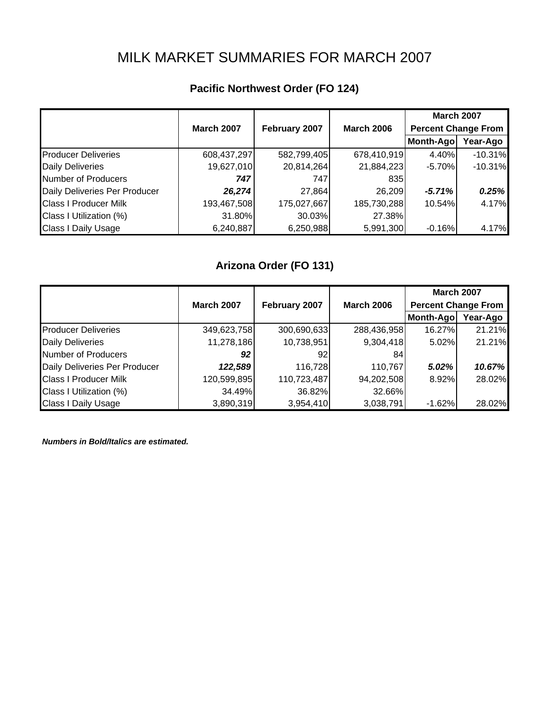# MILK MARKET SUMMARIES FOR MARCH 2007

## **Pacific Northwest Order (FO 124)**

|                               |                   |               |                   | <b>March 2007</b>          |           |
|-------------------------------|-------------------|---------------|-------------------|----------------------------|-----------|
|                               | <b>March 2007</b> | February 2007 | <b>March 2006</b> | <b>Percent Change From</b> |           |
|                               |                   |               |                   | Month-Ago                  | Year-Ago  |
| <b>Producer Deliveries</b>    | 608,437,297       | 582,799,405   | 678,410,919       | 4.40%                      | $-10.31%$ |
| <b>Daily Deliveries</b>       | 19,627,010        | 20,814,264    | 21,884,223        | $-5.70%$                   | $-10.31%$ |
| Number of Producers           | 747               | 747           | 8351              |                            |           |
| Daily Deliveries Per Producer | 26,274            | 27,864        | 26,209            | $-5.71%$                   | 0.25%     |
| <b>Class I Producer Milk</b>  | 193,467,508       | 175,027,667   | 185,730,288       | 10.54%                     | 4.17%     |
| Class I Utilization (%)       | 31.80%            | 30.03%        | 27.38%            |                            |           |
| <b>Class I Daily Usage</b>    | 6,240,887         | 6,250,988     | 5,991,300         | $-0.16%$                   | 4.17%     |

## **Arizona Order (FO 131)**

|                               |                   |                 |                   | <b>March 2007</b>          |          |
|-------------------------------|-------------------|-----------------|-------------------|----------------------------|----------|
|                               | <b>March 2007</b> | February 2007   | <b>March 2006</b> | <b>Percent Change From</b> |          |
|                               |                   |                 |                   | Month-Ago                  | Year-Ago |
| <b>Producer Deliveries</b>    | 349,623,758       | 300,690,633     | 288,436,958       | 16.27%                     | 21.21%   |
| <b>Daily Deliveries</b>       | 11,278,186        | 10,738,951      | 9,304,418         | 5.02%                      | 21.21%   |
| <b>Number of Producers</b>    | 92                | 92 <sub>l</sub> | 84                |                            |          |
| Daily Deliveries Per Producer | 122,589           | 116,728         | 110,767           | 5.02%                      | 10.67%   |
| <b>Class I Producer Milk</b>  | 120,599,895       | 110,723,487     | 94,202,508        | 8.92%                      | 28.02%   |
| Class I Utilization (%)       | 34.49%            | 36.82%          | 32.66%            |                            |          |
| <b>Class I Daily Usage</b>    | 3,890,319         | 3,954,410       | 3,038,791         | $-1.62%$                   | 28.02%   |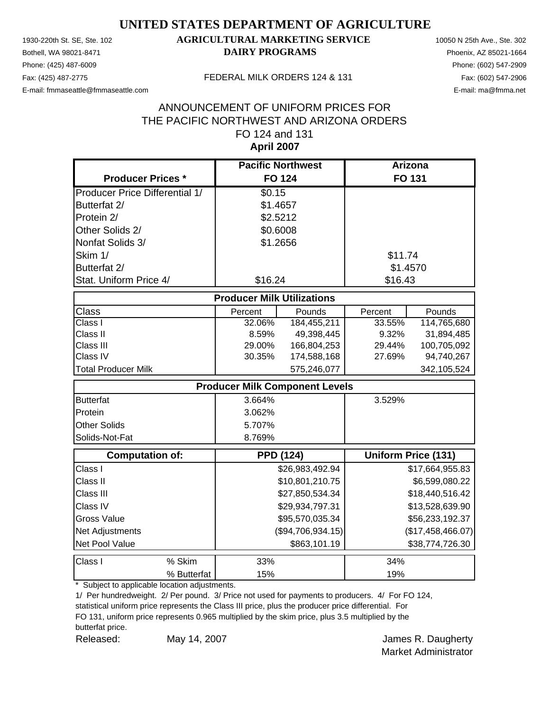Phone: (425) 487-6009 Phone: (602) 547-2909

### 1930-220th St. SE, Ste. 102 **AGRICULTURAL MARKETING SERVICE** 10050 N 25th Ave., Ste. 302 Bothell, WA 98021-8471 **DAIRY PROGRAMS** Phoenix, AZ 85021-1664

E-mail: fmmaseattle@fmmaseattle.com E-mail: ma@fmma.net

#### Fax: (425) 487-2775 FEDERAL MILK ORDERS 124 & 131

### **April 2007** ANNOUNCEMENT OF UNIFORM PRICES FOR THE PACIFIC NORTHWEST AND ARIZONA ORDERS FO 124 and 131

|                                       | <b>Pacific Northwest</b> |                                       | <b>Arizona</b> |                            |  |  |  |
|---------------------------------------|--------------------------|---------------------------------------|----------------|----------------------------|--|--|--|
| <b>Producer Prices *</b>              |                          | <b>FO 124</b>                         | <b>FO 131</b>  |                            |  |  |  |
| <b>Producer Price Differential 1/</b> | \$0.15                   |                                       |                |                            |  |  |  |
| Butterfat 2/                          |                          | \$1.4657                              |                |                            |  |  |  |
| Protein 2/                            |                          | \$2.5212                              |                |                            |  |  |  |
| Other Solids 2/                       |                          | \$0.6008                              |                |                            |  |  |  |
| Nonfat Solids 3/                      |                          | \$1.2656                              |                |                            |  |  |  |
| Skim 1/                               |                          |                                       | \$11.74        |                            |  |  |  |
| Butterfat 2/                          |                          |                                       |                | \$1.4570                   |  |  |  |
| Stat. Uniform Price 4/                | \$16.24                  |                                       | \$16.43        |                            |  |  |  |
| <b>Producer Milk Utilizations</b>     |                          |                                       |                |                            |  |  |  |
| <b>Class</b>                          | Percent                  | Pounds                                | Percent        | Pounds                     |  |  |  |
| Class I                               | 32.06%                   | 184,455,211                           | 33.55%         | 114,765,680                |  |  |  |
| Class II                              | 8.59%                    | 49,398,445                            | 9.32%          | 31,894,485                 |  |  |  |
| Class III                             | 29.00%                   | 166,804,253                           | 29.44%         | 100,705,092                |  |  |  |
| Class IV                              | 30.35%                   | 174,588,168                           | 27.69%         | 94,740,267                 |  |  |  |
| <b>Total Producer Milk</b>            |                          | 575,246,077                           |                | 342,105,524                |  |  |  |
|                                       |                          | <b>Producer Milk Component Levels</b> |                |                            |  |  |  |
| <b>Butterfat</b>                      | 3.664%                   |                                       | 3.529%         |                            |  |  |  |
| Protein                               | 3.062%                   |                                       |                |                            |  |  |  |
| <b>Other Solids</b>                   | 5.707%                   |                                       |                |                            |  |  |  |
| Solids-Not-Fat                        | 8.769%                   |                                       |                |                            |  |  |  |
| <b>Computation of:</b>                |                          | <b>PPD (124)</b>                      |                | <b>Uniform Price (131)</b> |  |  |  |
| Class I                               |                          | \$26,983,492.94                       |                | \$17,664,955.83            |  |  |  |
| Class II                              |                          | \$10,801,210.75                       |                | \$6,599,080.22             |  |  |  |
| Class III                             |                          | \$27,850,534.34                       |                | \$18,440,516.42            |  |  |  |
| Class IV                              |                          | \$29,934,797.31                       |                | \$13,528,639.90            |  |  |  |
| <b>Gross Value</b>                    |                          | \$95,570,035.34                       |                | \$56,233,192.37            |  |  |  |
| Net Adjustments                       |                          | (\$94,706,934.15)                     |                | (\$17,458,466.07)          |  |  |  |
| Net Pool Value                        |                          | \$863,101.19                          |                | \$38,774,726.30            |  |  |  |
| Class I<br>% Skim                     | 33%                      |                                       | 34%            |                            |  |  |  |
| % Butterfat                           | 15%                      |                                       | 19%            |                            |  |  |  |

\* Subject to applicable location adjustments.

1/ Per hundredweight. 2/ Per pound. 3/ Price not used for payments to producers. 4/ For FO 124,

statistical uniform price represents the Class III price, plus the producer price differential. For FO 131, uniform price represents 0.965 multiplied by the skim price, plus 3.5 multiplied by the butterfat price.

May 14, 2007

Released: May 14, 2007 Charles R. Daugherty Market Administrator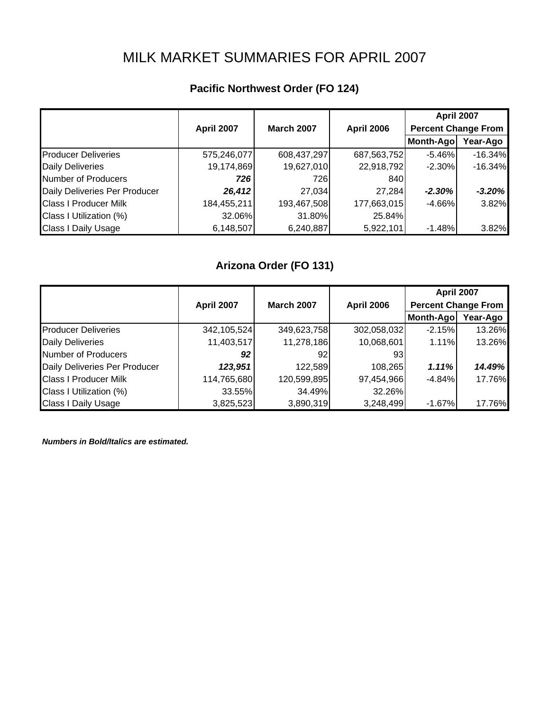# MILK MARKET SUMMARIES FOR APRIL 2007

### **Pacific Northwest Order (FO 124)**

|                               |                   |                   |                   | <b>April 2007</b>          |           |
|-------------------------------|-------------------|-------------------|-------------------|----------------------------|-----------|
|                               | <b>April 2007</b> | <b>March 2007</b> | <b>April 2006</b> | <b>Percent Change From</b> |           |
|                               |                   |                   |                   | Month-Ago                  | Year-Ago  |
| <b>Producer Deliveries</b>    | 575,246,077       | 608,437,297       | 687,563,752       | $-5.46%$                   | $-16.34%$ |
| <b>Daily Deliveries</b>       | 19,174,869        | 19,627,010        | 22,918,792        | $-2.30%$                   | $-16.34%$ |
| Number of Producers           | 726               | 726               | 840               |                            |           |
| Daily Deliveries Per Producer | 26,412            | 27,034            | 27,284            | $-2.30%$                   | $-3.20%$  |
| <b>Class I Producer Milk</b>  | 184,455,211       | 193,467,508       | 177,663,015       | $-4.66%$                   | 3.82%     |
| Class I Utilization (%)       | 32.06%            | 31.80%            | 25.84%            |                            |           |
| <b>Class I Daily Usage</b>    | 6,148,507         | 6,240,887         | 5,922,101         | $-1.48%$                   | 3.82%     |

## **Arizona Order (FO 131)**

|                               |             |                   |                   | <b>April 2007</b>          |          |
|-------------------------------|-------------|-------------------|-------------------|----------------------------|----------|
|                               | April 2007  | <b>March 2007</b> | <b>April 2006</b> | <b>Percent Change From</b> |          |
|                               |             |                   |                   | Month-Ago                  | Year-Ago |
| <b>Producer Deliveries</b>    | 342,105,524 | 349,623,758       | 302,058,032       | $-2.15%$                   | 13.26%   |
| <b>Daily Deliveries</b>       | 11,403,517  | 11,278,186        | 10,068,601        | 1.11%                      | 13.26%   |
| Number of Producers           | 92          | 921               | 931               |                            |          |
| Daily Deliveries Per Producer | 123,951     | 122,589           | 108,265           | 1.11%                      | 14.49%   |
| <b>Class I Producer Milk</b>  | 114,765,680 | 120,599,895       | 97,454,966        | $-4.84%$                   | 17.76%   |
| Class I Utilization (%)       | 33.55%      | 34.49%            | 32.26%            |                            |          |
| <b>Class I Daily Usage</b>    | 3,825,523   | 3,890,319         | 3,248,499         | $-1.67%$                   | 17.76%   |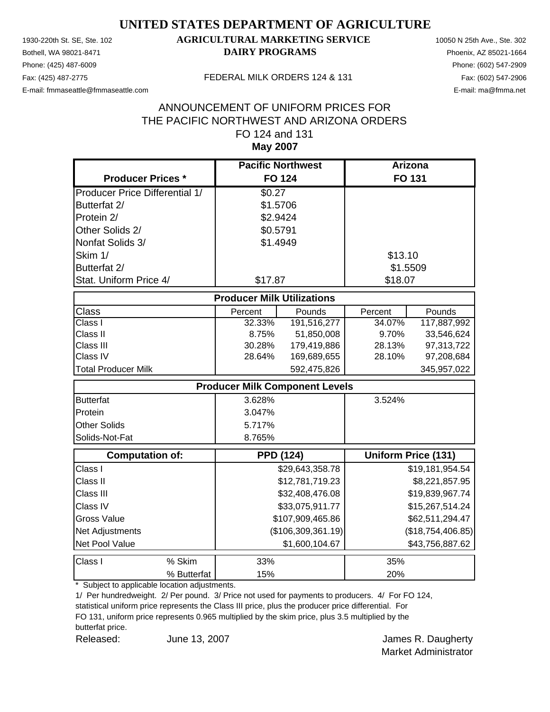Phone: (425) 487-6009 Phone: (602) 547-2909 E-mail: fmmaseattle@fmmaseattle.com E-mail: ma@fmma.net

### 1930-220th St. SE, Ste. 102 **AGRICULTURAL MARKETING SERVICE** 10050 N 25th Ave., Ste. 302 Bothell, WA 98021-8471 **DAIRY PROGRAMS** Phoenix, AZ 85021-1664

#### Fax: (425) 487-2775 FEDERAL MILK ORDERS 124 & 131

### **May 2007** ANNOUNCEMENT OF UNIFORM PRICES FOR THE PACIFIC NORTHWEST AND ARIZONA ORDERS FO 124 and 131

|                                       | <b>Pacific Northwest</b>          |                                       | Arizona  |                            |
|---------------------------------------|-----------------------------------|---------------------------------------|----------|----------------------------|
| <b>Producer Prices *</b>              |                                   | <b>FO 124</b>                         |          | <b>FO 131</b>              |
| <b>Producer Price Differential 1/</b> | \$0.27                            |                                       |          |                            |
| Butterfat 2/                          | \$1.5706                          |                                       |          |                            |
| Protein 2/                            | \$2.9424                          |                                       |          |                            |
| Other Solids 2/                       | \$0.5791                          |                                       |          |                            |
| Nonfat Solids 3/                      | \$1.4949                          |                                       |          |                            |
| Skim 1/                               |                                   |                                       | \$13.10  |                            |
| Butterfat 2/                          |                                   |                                       | \$1.5509 |                            |
| Stat. Uniform Price 4/                | \$17.87                           |                                       | \$18.07  |                            |
|                                       | <b>Producer Milk Utilizations</b> |                                       |          |                            |
| <b>Class</b>                          | Percent                           | Pounds                                | Percent  | Pounds                     |
| Class I                               | 32.33%                            | 191,516,277                           | 34.07%   | 117,887,992                |
| Class II                              | 8.75%                             | 51,850,008                            | 9.70%    | 33,546,624                 |
| Class III                             | 30.28%                            | 179,419,886                           | 28.13%   | 97,313,722                 |
| Class IV                              | 28.64%                            | 169,689,655                           | 28.10%   | 97,208,684                 |
| <b>Total Producer Milk</b>            |                                   | 592,475,826                           |          | 345,957,022                |
|                                       |                                   | <b>Producer Milk Component Levels</b> |          |                            |
| <b>Butterfat</b>                      | 3.628%                            |                                       | 3.524%   |                            |
| Protein                               | 3.047%                            |                                       |          |                            |
| <b>Other Solids</b>                   | 5.717%                            |                                       |          |                            |
| Solids-Not-Fat                        | 8.765%                            |                                       |          |                            |
| <b>Computation of:</b>                |                                   | <b>PPD (124)</b>                      |          | <b>Uniform Price (131)</b> |
| Class I                               |                                   | \$29,643,358.78                       |          | \$19,181,954.54            |
| Class II                              |                                   | \$12,781,719.23                       |          | \$8,221,857.95             |
| Class III                             |                                   | \$32,408,476.08                       |          | \$19,839,967.74            |
| Class IV                              |                                   | \$33,075,911.77                       |          | \$15,267,514.24            |
| <b>Gross Value</b>                    |                                   | \$107,909,465.86                      |          | \$62,511,294.47            |
| Net Adjustments                       |                                   | (\$106,309,361.19)                    |          | (\$18,754,406.85)          |
| Net Pool Value                        |                                   | \$1,600,104.67                        |          | \$43,756,887.62            |
| Class I<br>% Skim                     | 33%                               |                                       | 35%      |                            |
| % Butterfat                           | 15%                               |                                       | 20%      |                            |

\* Subject to applicable location adjustments.

1/ Per hundredweight. 2/ Per pound. 3/ Price not used for payments to producers. 4/ For FO 124,

statistical uniform price represents the Class III price, plus the producer price differential. For FO 131, uniform price represents 0.965 multiplied by the skim price, plus 3.5 multiplied by the butterfat price.

Released: June 13, 2007 **Market Election State State State State Inc.** Selection State State James R. Daugherty June 13, 2007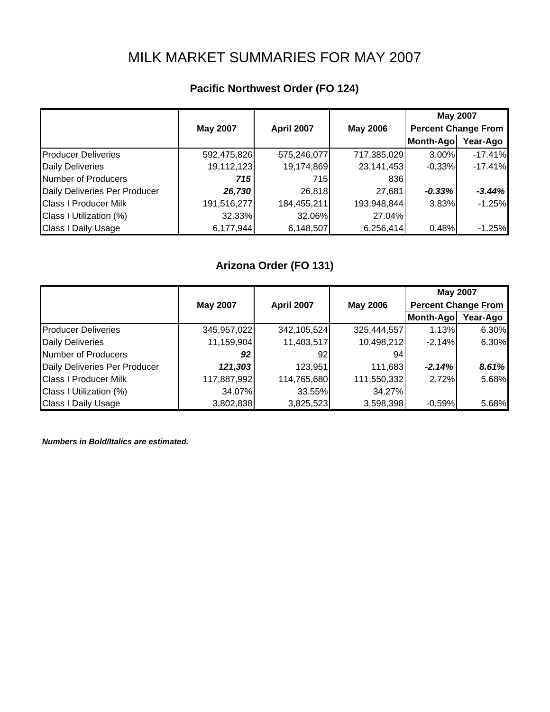# MILK MARKET SUMMARIES FOR MAY 2007

## **Pacific Northwest Order (FO 124)**

|                               |                 |             |                 | <b>May 2007</b>            |           |
|-------------------------------|-----------------|-------------|-----------------|----------------------------|-----------|
|                               | <b>May 2007</b> | April 2007  | <b>May 2006</b> | <b>Percent Change From</b> |           |
|                               |                 |             |                 | Month-Ago                  | Year-Ago  |
| <b>Producer Deliveries</b>    | 592,475,826     | 575,246,077 | 717,385,029     | 3.00%                      | $-17.41%$ |
| <b>Daily Deliveries</b>       | 19,112,123      | 19,174,869  | 23, 141, 453    | $-0.33%$                   | $-17.41%$ |
| Number of Producers           | 715             | 715         | 836             |                            |           |
| Daily Deliveries Per Producer | 26,730          | 26,818      | 27,681          | $-0.33%$                   | $-3.44%$  |
| <b>Class I Producer Milk</b>  | 191,516,277     | 184,455,211 | 193,948,844     | 3.83%                      | $-1.25%$  |
| Class I Utilization (%)       | 32.33%          | 32.06%      | 27.04%          |                            |           |
| <b>Class I Daily Usage</b>    | 6,177,944       | 6,148,507   | 6,256,414       | 0.48%                      | $-1.25%$  |

### **Arizona Order (FO 131)**

|                               |                 |                   |                 | <b>May 2007</b>            |          |
|-------------------------------|-----------------|-------------------|-----------------|----------------------------|----------|
|                               | <b>May 2007</b> | <b>April 2007</b> | <b>May 2006</b> | <b>Percent Change From</b> |          |
|                               |                 |                   |                 | Month-Ago                  | Year-Ago |
| <b>Producer Deliveries</b>    | 345,957,022     | 342,105,524       | 325,444,557     | 1.13%                      | 6.30%    |
| <b>Daily Deliveries</b>       | 11,159,904      | 11,403,517        | 10,498,212      | $-2.14%$                   | 6.30%    |
| Number of Producers           | 92              | 92                | 94              |                            |          |
| Daily Deliveries Per Producer | 121,303         | 123,951           | 111,683         | $-2.14%$                   | 8.61%    |
| <b>Class I Producer Milk</b>  | 117,887,992     | 114,765,680       | 111,550,332     | 2.72%                      | 5.68%    |
| Class I Utilization (%)       | 34.07%          | 33.55%            | 34.27%          |                            |          |
| <b>Class I Daily Usage</b>    | 3,802,838       | 3,825,523         | 3,598,398       | $-0.59%$                   | 5.68%    |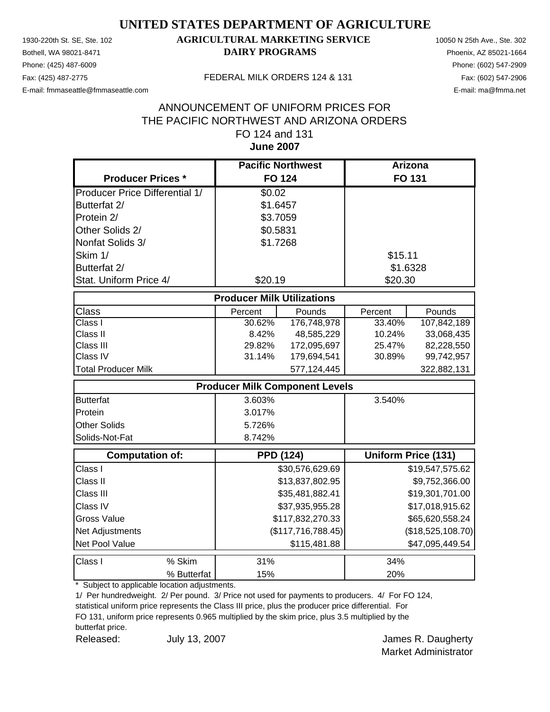Phone: (425) 487-6009 Phone: (602) 547-2909 E-mail: fmmaseattle@fmmaseattle.com E-mail: ma@fmma.net

### 1930-220th St. SE, Ste. 102 **AGRICULTURAL MARKETING SERVICE** 10050 N 25th Ave., Ste. 302 Bothell, WA 98021-8471 **DAIRY PROGRAMS** Phoenix, AZ 85021-1664

#### Fax: (425) 487-2775 FEDERAL MILK ORDERS 124 & 131

### **June 2007** ANNOUNCEMENT OF UNIFORM PRICES FOR THE PACIFIC NORTHWEST AND ARIZONA ORDERS FO 124 and 131

|                                       | <b>Pacific Northwest</b>              |                    | Arizona  |                            |
|---------------------------------------|---------------------------------------|--------------------|----------|----------------------------|
| <b>Producer Prices *</b>              | <b>FO 124</b>                         |                    |          | FO 131                     |
| <b>Producer Price Differential 1/</b> | \$0.02                                |                    |          |                            |
| Butterfat 2/                          | \$1.6457                              |                    |          |                            |
| Protein 2/                            | \$3.7059                              |                    |          |                            |
| Other Solids 2/                       | \$0.5831                              |                    |          |                            |
| Nonfat Solids 3/                      | \$1.7268                              |                    |          |                            |
| Skim 1/                               |                                       |                    | \$15.11  |                            |
| Butterfat 2/                          |                                       |                    | \$1.6328 |                            |
| Stat. Uniform Price 4/                | \$20.19                               |                    | \$20.30  |                            |
|                                       | <b>Producer Milk Utilizations</b>     |                    |          |                            |
| Class                                 | Percent                               | Pounds             | Percent  | Pounds                     |
| Class I                               | 30.62%                                | 176,748,978        | 33.40%   | 107,842,189                |
| Class II                              | 8.42%                                 | 48,585,229         | 10.24%   | 33,068,435                 |
| Class III                             | 29.82%                                | 172,095,697        | 25.47%   | 82,228,550                 |
| Class IV                              | 31.14%                                | 179,694,541        | 30.89%   | 99,742,957                 |
| <b>Total Producer Milk</b>            |                                       | 577,124,445        |          | 322,882,131                |
|                                       | <b>Producer Milk Component Levels</b> |                    |          |                            |
| <b>Butterfat</b>                      | 3.603%                                |                    | 3.540%   |                            |
| Protein                               | 3.017%                                |                    |          |                            |
| <b>Other Solids</b>                   | 5.726%                                |                    |          |                            |
| Solids-Not-Fat                        | 8.742%                                |                    |          |                            |
| <b>Computation of:</b>                | <b>PPD (124)</b>                      |                    |          | <b>Uniform Price (131)</b> |
| Class I                               |                                       | \$30,576,629.69    |          | \$19,547,575.62            |
| Class II                              |                                       | \$13,837,802.95    |          | \$9,752,366.00             |
| Class III                             |                                       | \$35,481,882.41    |          | \$19,301,701.00            |
| Class IV                              |                                       | \$37,935,955.28    |          | \$17,018,915.62            |
| <b>Gross Value</b>                    |                                       | \$117,832,270.33   |          | \$65,620,558.24            |
| Net Adjustments                       |                                       | (\$117,716,788.45) |          | (\$18,525,108.70)          |
| Net Pool Value                        |                                       | \$115,481.88       |          | \$47,095,449.54            |
| % Skim<br>Class I                     | 31%                                   |                    | 34%      |                            |
| % Butterfat                           | 15%                                   |                    | 20%      |                            |

\* Subject to applicable location adjustments.

1/ Per hundredweight. 2/ Per pound. 3/ Price not used for payments to producers. 4/ For FO 124,

statistical uniform price represents the Class III price, plus the producer price differential. For FO 131, uniform price represents 0.965 multiplied by the skim price, plus 3.5 multiplied by the butterfat price.

Released: July 13, 2007 **Container Accord Figure 3** James R. Daugherty July 13, 2007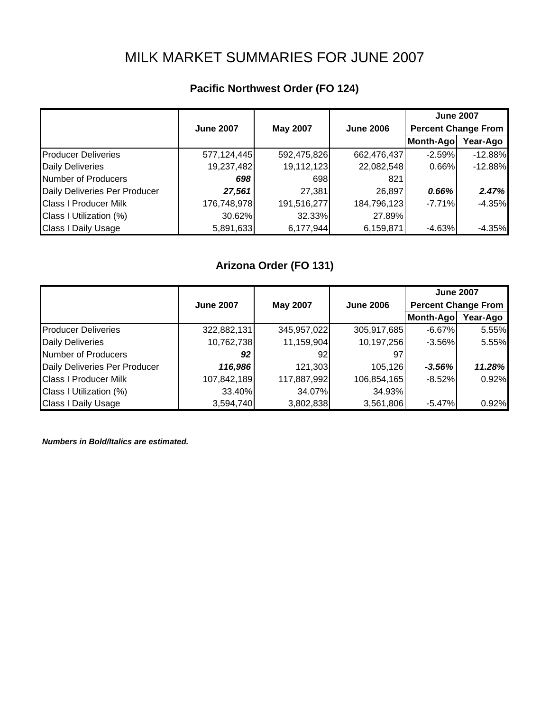# MILK MARKET SUMMARIES FOR JUNE 2007

### **Pacific Northwest Order (FO 124)**

|                               |                  |                 |                  | <b>June 2007</b>           |           |
|-------------------------------|------------------|-----------------|------------------|----------------------------|-----------|
|                               | <b>June 2007</b> | <b>May 2007</b> | <b>June 2006</b> | <b>Percent Change From</b> |           |
|                               |                  |                 |                  | Month-Ago                  | Year-Ago  |
| <b>Producer Deliveries</b>    | 577,124,445      | 592,475,826     | 662,476,437      | $-2.59%$                   | $-12.88%$ |
| <b>Daily Deliveries</b>       | 19,237,482       | 19,112,123      | 22,082,548       | 0.66%                      | $-12.88%$ |
| <b>Number of Producers</b>    | 698              | 698             | 821              |                            |           |
| Daily Deliveries Per Producer | 27,561           | 27,381          | 26,897           | 0.66%                      | 2.47%     |
| <b>Class I Producer Milk</b>  | 176,748,978      | 191,516,277     | 184,796,123      | $-7.71%$                   | $-4.35%$  |
| Class I Utilization (%)       | 30.62%           | 32.33%          | 27.89%           |                            |           |
| <b>Class I Daily Usage</b>    | 5,891,633        | 6,177,944       | 6,159,871        | $-4.63%$                   | $-4.35%$  |

## **Arizona Order (FO 131)**

|                               |                  |                 |                  | <b>June 2007</b>           |          |
|-------------------------------|------------------|-----------------|------------------|----------------------------|----------|
|                               | <b>June 2007</b> | <b>May 2007</b> | <b>June 2006</b> | <b>Percent Change From</b> |          |
|                               |                  |                 |                  | Month-Ago                  | Year-Ago |
| <b>Producer Deliveries</b>    | 322,882,131      | 345,957,022     | 305,917,685      | $-6.67\%$                  | 5.55%    |
| <b>Daily Deliveries</b>       | 10,762,738       | 11,159,904      | 10,197,256       | $-3.56\%$                  | 5.55%    |
| Number of Producers           | 92               | 92              | 97               |                            |          |
| Daily Deliveries Per Producer | 116,986          | 121,303         | 105,126          | $-3.56%$                   | 11.28%   |
| <b>Class I Producer Milk</b>  | 107,842,189      | 117,887,992     | 106,854,165      | $-8.52%$                   | 0.92%    |
| Class I Utilization (%)       | 33.40%           | 34.07%          | 34.93%           |                            |          |
| <b>Class I Daily Usage</b>    | 3,594,740        | 3,802,838       | 3,561,806        | $-5.47%$                   | 0.92%    |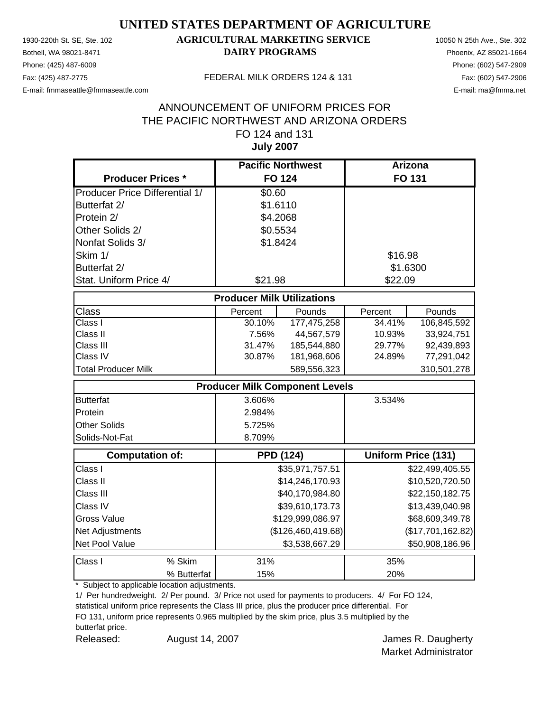Phone: (425) 487-6009 Phone: (602) 547-2909

### 1930-220th St. SE, Ste. 102 **AGRICULTURAL MARKETING SERVICE** 10050 N 25th Ave., Ste. 302 Bothell, WA 98021-8471 **DAIRY PROGRAMS** Phoenix, AZ 85021-1664

E-mail: fmmaseattle@fmmaseattle.com E-mail: ma@fmma.net

#### Fax: (425) 487-2775 FEDERAL MILK ORDERS 124 & 131

### **July 2007** ANNOUNCEMENT OF UNIFORM PRICES FOR THE PACIFIC NORTHWEST AND ARIZONA ORDERS FO 124 and 131

|                                       | <b>Pacific Northwest</b>          |                                       | <b>Arizona</b> |                            |
|---------------------------------------|-----------------------------------|---------------------------------------|----------------|----------------------------|
| <b>Producer Prices *</b>              | <b>FO 124</b>                     |                                       |                | <b>FO 131</b>              |
| <b>Producer Price Differential 1/</b> | \$0.60                            |                                       |                |                            |
| Butterfat 2/                          | \$1.6110                          |                                       |                |                            |
| Protein 2/                            | \$4.2068                          |                                       |                |                            |
| Other Solids 2/                       | \$0.5534                          |                                       |                |                            |
| Nonfat Solids 3/                      | \$1.8424                          |                                       |                |                            |
| Skim 1/                               |                                   |                                       | \$16.98        |                            |
| Butterfat 2/                          |                                   |                                       | \$1.6300       |                            |
| Stat. Uniform Price 4/                | \$21.98                           |                                       | \$22.09        |                            |
|                                       | <b>Producer Milk Utilizations</b> |                                       |                |                            |
| <b>Class</b>                          | Percent                           | Pounds                                | Percent        | Pounds                     |
| Class I                               | 30.10%                            | 177,475,258                           | 34.41%         | 106,845,592                |
| Class II                              | 7.56%                             | 44,567,579                            | 10.93%         | 33,924,751                 |
| Class III                             | 31.47%                            | 185,544,880                           | 29.77%         | 92,439,893                 |
| Class IV                              | 30.87%                            | 181,968,606                           | 24.89%         | 77,291,042                 |
| <b>Total Producer Milk</b>            |                                   | 589,556,323                           |                | 310,501,278                |
|                                       |                                   | <b>Producer Milk Component Levels</b> |                |                            |
| <b>Butterfat</b>                      | 3.606%                            |                                       | 3.534%         |                            |
| Protein                               | 2.984%                            |                                       |                |                            |
| <b>Other Solids</b>                   | 5.725%                            |                                       |                |                            |
| Solids-Not-Fat                        | 8.709%                            |                                       |                |                            |
| <b>Computation of:</b>                |                                   | <b>PPD (124)</b>                      |                | <b>Uniform Price (131)</b> |
| Class I                               |                                   | \$35,971,757.51                       |                | \$22,499,405.55            |
| Class II                              |                                   | \$14,246,170.93                       |                | \$10,520,720.50            |
| Class III                             |                                   | \$40,170,984.80                       |                | \$22,150,182.75            |
| Class IV                              |                                   | \$39,610,173.73                       |                | \$13,439,040.98            |
| <b>Gross Value</b>                    |                                   | \$129,999,086.97                      |                | \$68,609,349.78            |
| Net Adjustments                       |                                   | (\$126,460,419.68)                    |                | (\$17,701,162.82)          |
| Net Pool Value                        |                                   | \$3,538,667.29                        |                | \$50,908,186.96            |
| Class I<br>% Skim                     | 31%                               |                                       | 35%            |                            |
| % Butterfat                           | 15%                               |                                       | 20%            |                            |

\* Subject to applicable location adjustments.

1/ Per hundredweight. 2/ Per pound. 3/ Price not used for payments to producers. 4/ For FO 124,

statistical uniform price represents the Class III price, plus the producer price differential. For FO 131, uniform price represents 0.965 multiplied by the skim price, plus 3.5 multiplied by the butterfat price.

Released: August 14, 2007 Channel America R. Daugherty August 14, 2007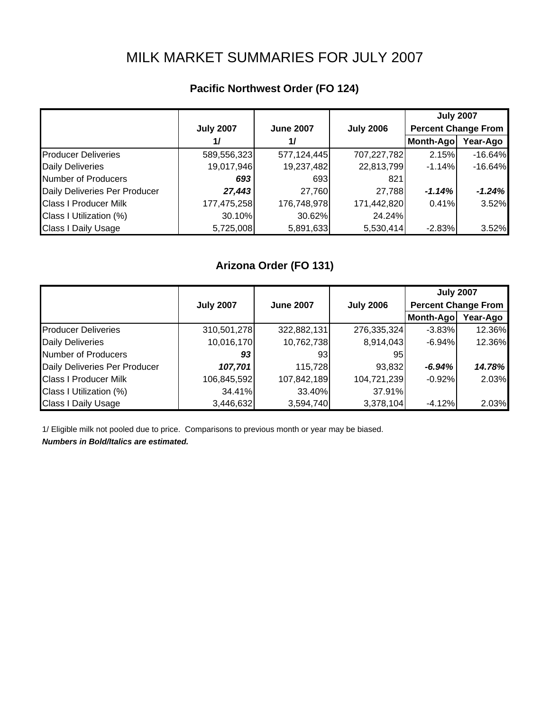# MILK MARKET SUMMARIES FOR JULY 2007

## **Pacific Northwest Order (FO 124)**

|                               |                  |                  |                  | <b>July 2007</b>           |           |
|-------------------------------|------------------|------------------|------------------|----------------------------|-----------|
|                               | <b>July 2007</b> | <b>June 2007</b> | <b>July 2006</b> | <b>Percent Change From</b> |           |
|                               | 1/               | 1/               |                  | Month-Ago                  | Year-Ago  |
| <b>Producer Deliveries</b>    | 589,556,323      | 577,124,445      | 707,227,782      | 2.15%                      | $-16.64%$ |
| <b>Daily Deliveries</b>       | 19,017,946       | 19,237,482       | 22,813,799       | $-1.14%$                   | $-16.64%$ |
| Number of Producers           | 693              | 693              | 821              |                            |           |
| Daily Deliveries Per Producer | 27,443           | 27,760           | 27,788           | $-1.14%$                   | $-1.24%$  |
| <b>Class I Producer Milk</b>  | 177,475,258      | 176,748,978      | 171,442,820      | 0.41%                      | 3.52%     |
| Class I Utilization (%)       | 30.10%           | 30.62%           | 24.24%           |                            |           |
| <b>Class I Daily Usage</b>    | 5,725,008        | 5,891,633        | 5,530,414        | $-2.83%$                   | 3.52%     |

### **Arizona Order (FO 131)**

|                               |                  |                  |                  | <b>July 2007</b>           |          |
|-------------------------------|------------------|------------------|------------------|----------------------------|----------|
|                               | <b>July 2007</b> | <b>June 2007</b> | <b>July 2006</b> | <b>Percent Change From</b> |          |
|                               |                  |                  |                  | Month-Ago                  | Year-Ago |
| <b>Producer Deliveries</b>    | 310,501,278      | 322,882,131      | 276,335,324      | $-3.83%$                   | 12.36%   |
| <b>Daily Deliveries</b>       | 10,016,170       | 10,762,738       | 8,914,043        | $-6.94%$                   | 12.36%   |
| <b>Number of Producers</b>    | 93               | 931              | 95               |                            |          |
| Daily Deliveries Per Producer | 107,701          | 115,728          | 93,832           | $-6.94%$                   | 14.78%   |
| <b>Class I Producer Milk</b>  | 106,845,592      | 107,842,189      | 104,721,239      | $-0.92%$                   | 2.03%    |
| Class I Utilization (%)       | 34.41%           | 33.40%           | 37.91%           |                            |          |
| <b>Class I Daily Usage</b>    | 3,446,632        | 3,594,740        | 3,378,104        | $-4.12%$                   | 2.03%    |

1/ Eligible milk not pooled due to price. Comparisons to previous month or year may be biased.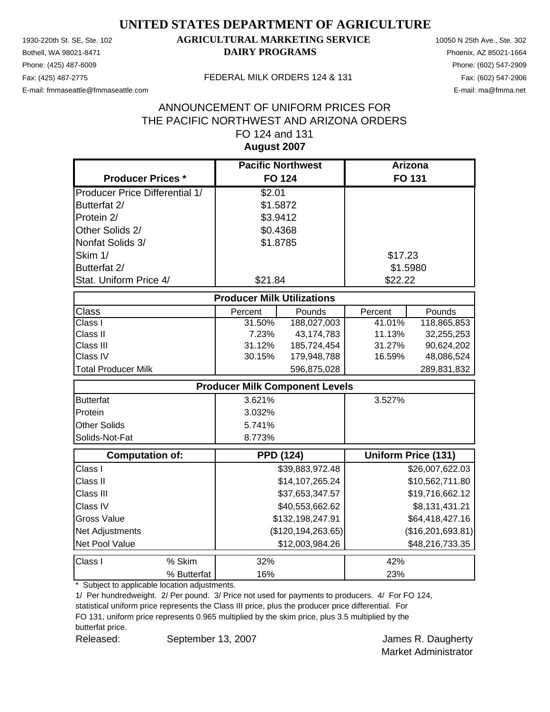Phone: (425) 487-6009 Phone: (602) 547-2909

### 1930-220th St. SE, Ste. 102 **AGRICULTURAL MARKETING SERVICE** 10050 N 25th Ave., Ste. 302 Bothell, WA 98021-8471 **DAIRY PROGRAMS** Phoenix, AZ 85021-1664

E-mail: fmmaseattle@fmmaseattle.com E-mail: ma@fmma.net

#### Fax: (425) 487-2775 FEDERAL MILK ORDERS 124 & 131

### **August 2007** ANNOUNCEMENT OF UNIFORM PRICES FOR THE PACIFIC NORTHWEST AND ARIZONA ORDERS FO 124 and 131

|                                       | <b>Pacific Northwest</b>              |                      | Arizona  |                            |
|---------------------------------------|---------------------------------------|----------------------|----------|----------------------------|
| <b>Producer Prices *</b>              |                                       | <b>FO 124</b>        |          | FO 131                     |
| <b>Producer Price Differential 1/</b> | \$2.01                                |                      |          |                            |
| Butterfat 2/                          | \$1.5872                              |                      |          |                            |
| Protein 2/                            | \$3.9412                              |                      |          |                            |
| Other Solids 2/                       | \$0.4368                              |                      |          |                            |
| Nonfat Solids 3/                      | \$1.8785                              |                      |          |                            |
| Skim 1/                               |                                       |                      | \$17.23  |                            |
| Butterfat 2/                          |                                       |                      | \$1.5980 |                            |
| Stat. Uniform Price 4/                | \$21.84                               |                      | \$22.22  |                            |
|                                       | <b>Producer Milk Utilizations</b>     |                      |          |                            |
| Class                                 | Percent                               | Pounds               | Percent  | Pounds                     |
| Class I                               | 31.50%                                | 188,027,003          | 41.01%   | 118,865,853                |
| Class II                              | 7.23%                                 | 43, 174, 783         | 11.13%   | 32,255,253                 |
| Class III                             | 31.12%                                | 185,724,454          | 31.27%   | 90,624,202                 |
| Class IV                              | 30.15%                                | 179,948,788          | 16.59%   | 48,086,524                 |
| <b>Total Producer Milk</b>            |                                       | 596,875,028          |          | 289,831,832                |
|                                       | <b>Producer Milk Component Levels</b> |                      |          |                            |
| <b>Butterfat</b>                      | 3.621%                                |                      | 3.527%   |                            |
| Protein                               | 3.032%                                |                      |          |                            |
| <b>Other Solids</b>                   | 5.741%                                |                      |          |                            |
| Solids-Not-Fat                        | 8.773%                                |                      |          |                            |
| <b>Computation of:</b>                | <b>PPD (124)</b>                      |                      |          | <b>Uniform Price (131)</b> |
| Class I                               |                                       | \$39,883,972.48      |          | \$26,007,622.03            |
| Class II                              |                                       | \$14,107,265.24      |          | \$10,562,711.80            |
| Class III                             |                                       | \$37,653,347.57      |          | \$19,716,662.12            |
| Class IV                              |                                       | \$40,553,662.62      |          | \$8,131,431.21             |
| <b>Gross Value</b>                    |                                       | \$132,198,247.91     |          | \$64,418,427.16            |
| Net Adjustments                       |                                       | (\$120, 194, 263.65) |          | (\$16,201,693.81)          |
| Net Pool Value                        |                                       | \$12,003,984.26      |          | \$48,216,733.35            |
| % Skim<br>Class I                     | 32%                                   |                      | 42%      |                            |
| % Butterfat                           | 16%                                   |                      | 23%      |                            |

\* Subject to applicable location adjustments.

1/ Per hundredweight. 2/ Per pound. 3/ Price not used for payments to producers. 4/ For FO 124,

statistical uniform price represents the Class III price, plus the producer price differential. For FO 131, uniform price represents 0.965 multiplied by the skim price, plus 3.5 multiplied by the

butterfat price.

Released: September 13, 2007 **Decimension Contract Contract Contract Contract Contract Contract Contract Contract Contract Contract Contract Contract Contract Contract Contract Contract Contract Contract Contract Contract**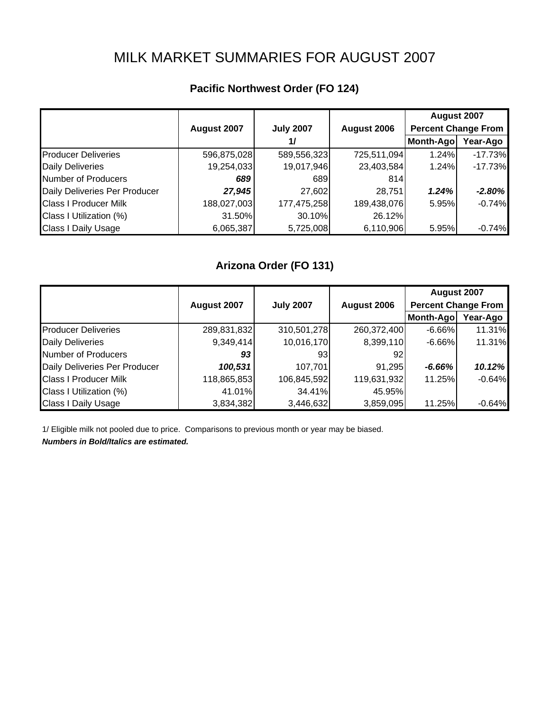# MILK MARKET SUMMARIES FOR AUGUST 2007

### **Pacific Northwest Order (FO 124)**

|                               | August 2007 | <b>July 2007</b> | August 2006 | August 2007<br><b>Percent Change From</b> |           |
|-------------------------------|-------------|------------------|-------------|-------------------------------------------|-----------|
|                               |             | 1/               |             | Month-Ago                                 | Year-Ago  |
| <b>Producer Deliveries</b>    | 596,875,028 | 589,556,323      | 725,511,094 | 1.24%                                     | $-17.73%$ |
| <b>Daily Deliveries</b>       | 19,254,033  | 19,017,946       | 23,403,584  | 1.24%                                     | $-17.73%$ |
| <b>Number of Producers</b>    | 689         | 689              | 814         |                                           |           |
| Daily Deliveries Per Producer | 27,945      | 27,602           | 28,751      | 1.24%                                     | $-2.80%$  |
| <b>Class I Producer Milk</b>  | 188,027,003 | 177,475,258      | 189,438,076 | 5.95%                                     | $-0.74%$  |
| Class I Utilization (%)       | 31.50%      | 30.10%           | 26.12%      |                                           |           |
| <b>Class I Daily Usage</b>    | 6,065,387   | 5,725,008        | 6,110,906   | 5.95%                                     | $-0.74%$  |

### **Arizona Order (FO 131)**

|                               |             |                  |             | August 2007                |          |
|-------------------------------|-------------|------------------|-------------|----------------------------|----------|
|                               | August 2007 | <b>July 2007</b> | August 2006 | <b>Percent Change From</b> |          |
|                               |             |                  |             | Month-Ago                  | Year-Ago |
| <b>Producer Deliveries</b>    | 289,831,832 | 310,501,278      | 260,372,400 | $-6.66%$                   | 11.31%   |
| <b>Daily Deliveries</b>       | 9,349,414   | 10,016,170       | 8,399,110   | $-6.66%$                   | 11.31%   |
| Number of Producers           | 93          | 931              | 92          |                            |          |
| Daily Deliveries Per Producer | 100,531     | 107,701          | 91,295      | $-6.66%$                   | 10.12%   |
| <b>Class I Producer Milk</b>  | 118,865,853 | 106,845,592      | 119,631,932 | 11.25%                     | $-0.64%$ |
| Class I Utilization (%)       | 41.01%      | 34.41%           | 45.95%      |                            |          |
| <b>Class I Daily Usage</b>    | 3,834,382   | 3,446,632        | 3,859,095   | 11.25%                     | $-0.64%$ |

1/ Eligible milk not pooled due to price. Comparisons to previous month or year may be biased.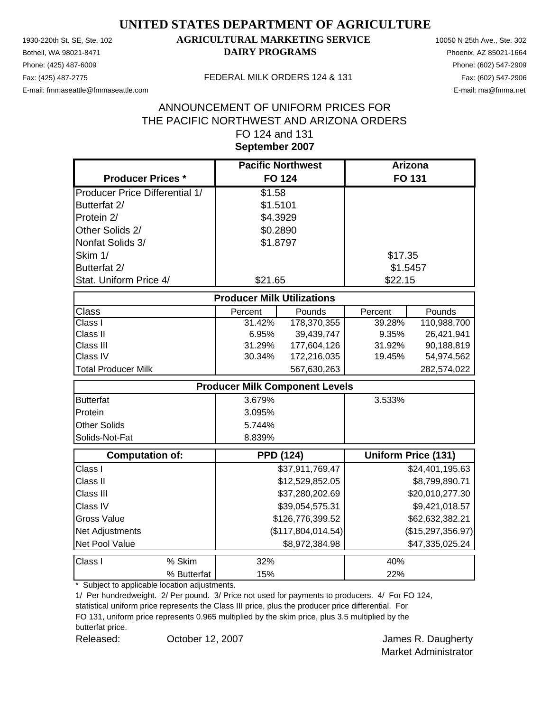Phone: (425) 487-6009 Phone: (602) 547-2909

### 1930-220th St. SE, Ste. 102 **AGRICULTURAL MARKETING SERVICE** 10050 N 25th Ave., Ste. 302 Bothell, WA 98021-8471 **DAIRY PROGRAMS** Phoenix, AZ 85021-1664

E-mail: fmmaseattle@fmmaseattle.com E-mail: ma@fmma.net

#### Fax: (425) 487-2775 FEDERAL MILK ORDERS 124 & 131

### **September 2007** ANNOUNCEMENT OF UNIFORM PRICES FOR THE PACIFIC NORTHWEST AND ARIZONA ORDERS FO 124 and 131

|                                       | <b>Pacific Northwest</b>              |                    | Arizona  |                            |
|---------------------------------------|---------------------------------------|--------------------|----------|----------------------------|
| <b>Producer Prices *</b>              | <b>FO 124</b>                         |                    |          | FO 131                     |
| <b>Producer Price Differential 1/</b> | \$1.58                                |                    |          |                            |
| Butterfat 2/                          | \$1.5101                              |                    |          |                            |
| Protein 2/                            | \$4.3929                              |                    |          |                            |
| Other Solids 2/                       | \$0.2890                              |                    |          |                            |
| Nonfat Solids 3/                      | \$1.8797                              |                    |          |                            |
| Skim 1/                               |                                       |                    | \$17.35  |                            |
| Butterfat 2/                          |                                       |                    | \$1.5457 |                            |
| Stat. Uniform Price 4/                | \$21.65                               |                    | \$22.15  |                            |
|                                       | <b>Producer Milk Utilizations</b>     |                    |          |                            |
| Class                                 | Percent                               | Pounds             | Percent  | Pounds                     |
| Class I                               | 31.42%                                | 178,370,355        | 39.28%   | 110,988,700                |
| Class II                              | 6.95%                                 | 39,439,747         | 9.35%    | 26,421,941                 |
| Class III                             | 31.29%                                | 177,604,126        | 31.92%   | 90,188,819                 |
| Class IV                              | 30.34%                                | 172,216,035        | 19.45%   | 54,974,562                 |
| <b>Total Producer Milk</b>            |                                       | 567,630,263        |          | 282,574,022                |
|                                       | <b>Producer Milk Component Levels</b> |                    |          |                            |
| <b>Butterfat</b>                      | 3.679%                                |                    | 3.533%   |                            |
| Protein                               | 3.095%                                |                    |          |                            |
| <b>Other Solids</b>                   | 5.744%                                |                    |          |                            |
| Solids-Not-Fat                        | 8.839%                                |                    |          |                            |
| <b>Computation of:</b>                | <b>PPD (124)</b>                      |                    |          | <b>Uniform Price (131)</b> |
| Class I                               |                                       | \$37,911,769.47    |          | \$24,401,195.63            |
| Class II                              |                                       | \$12,529,852.05    |          | \$8,799,890.71             |
| Class III                             |                                       | \$37,280,202.69    |          | \$20,010,277.30            |
| Class IV                              |                                       | \$39,054,575.31    |          | \$9,421,018.57             |
| <b>Gross Value</b>                    |                                       | \$126,776,399.52   |          | \$62,632,382.21            |
| Net Adjustments                       |                                       | (\$117,804,014.54) |          | (\$15,297,356.97)          |
| Net Pool Value                        |                                       | \$8,972,384.98     |          | \$47,335,025.24            |
| Class I<br>% Skim                     | 32%                                   |                    | 40%      |                            |
| % Butterfat                           | 15%                                   |                    | 22%      |                            |

\* Subject to applicable location adjustments.

1/ Per hundredweight. 2/ Per pound. 3/ Price not used for payments to producers. 4/ For FO 124,

statistical uniform price represents the Class III price, plus the producer price differential. For FO 131, uniform price represents 0.965 multiplied by the skim price, plus 3.5 multiplied by the butterfat price.

Released: Corober 12, 2007 Corober 12, 2007 Coronave Mannes R. Daugherty October 12, 2007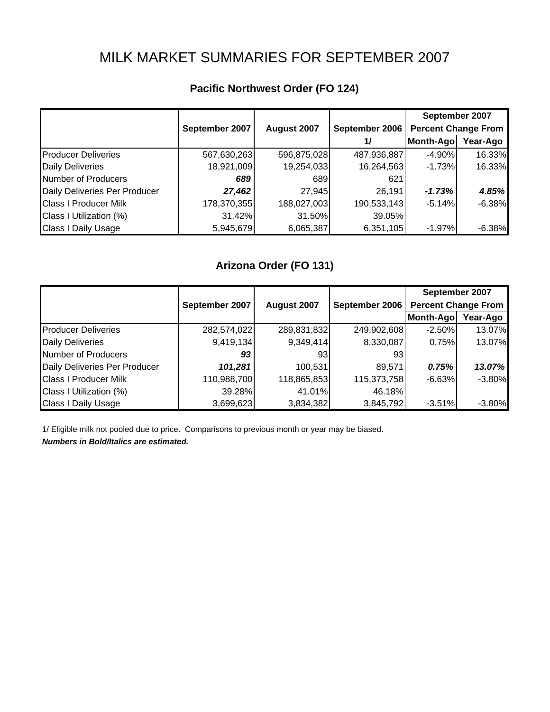# MILK MARKET SUMMARIES FOR SEPTEMBER 2007

|                               |                |             |                | September 2007             |          |
|-------------------------------|----------------|-------------|----------------|----------------------------|----------|
|                               | September 2007 | August 2007 | September 2006 | <b>Percent Change From</b> |          |
|                               |                |             | 1/             | Month-Ago                  | Year-Ago |
| <b>Producer Deliveries</b>    | 567,630,263    | 596,875,028 | 487,936,887    | $-4.90\%$                  | 16.33%   |
| <b>Daily Deliveries</b>       | 18,921,009     | 19,254,033  | 16,264,563     | $-1.73%$                   | 16.33%   |
| <b>Number of Producers</b>    | 689            | 689         | 621            |                            |          |
| Daily Deliveries Per Producer | 27,462         | 27,945      | 26,191         | $-1.73%$                   | 4.85%    |
| <b>Class I Producer Milk</b>  | 178,370,355    | 188,027,003 | 190,533,143    | $-5.14%$                   | $-6.38%$ |
| Class I Utilization (%)       | 31.42%         | 31.50%      | 39.05%         |                            |          |
| <b>Class I Daily Usage</b>    | 5,945,679      | 6,065,387   | 6,351,105      | $-1.97\%$                  | $-6.38%$ |

### **Pacific Northwest Order (FO 124)**

### **Arizona Order (FO 131)**

|                               | September 2007 | August 2007 | September 2006 | September 2007<br><b>Percent Change From</b> |          |
|-------------------------------|----------------|-------------|----------------|----------------------------------------------|----------|
|                               |                |             |                | Month-Ago                                    | Year-Ago |
| <b>Producer Deliveries</b>    | 282,574,022    | 289,831,832 | 249,902,608    | $-2.50%$                                     | 13.07%   |
| <b>Daily Deliveries</b>       | 9,419,134      | 9,349,414   | 8,330,087      | 0.75%                                        | 13.07%   |
| Number of Producers           | 93             | 93          | 93             |                                              |          |
| Daily Deliveries Per Producer | 101,281        | 100,531     | 89,571         | 0.75%                                        | 13.07%   |
| <b>Class I Producer Milk</b>  | 110,988,700    | 118,865,853 | 115,373,758    | $-6.63%$                                     | $-3.80%$ |
| Class I Utilization (%)       | 39.28%         | 41.01%      | 46.18%         |                                              |          |
| <b>Class I Daily Usage</b>    | 3,699,623      | 3,834,382   | 3,845,792      | $-3.51%$                                     | $-3.80%$ |

1/ Eligible milk not pooled due to price. Comparisons to previous month or year may be biased.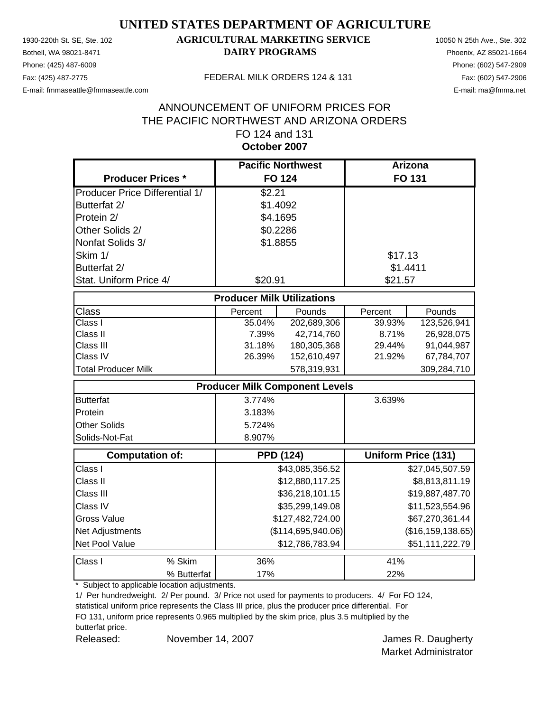Phone: (425) 487-6009 Phone: (602) 547-2909

### 1930-220th St. SE, Ste. 102 **AGRICULTURAL MARKETING SERVICE** 10050 N 25th Ave., Ste. 302 Bothell, WA 98021-8471 **DAIRY PROGRAMS** Phoenix, AZ 85021-1664

E-mail: fmmaseattle@fmmaseattle.com E-mail: ma@fmma.net

#### Fax: (425) 487-2775 FEDERAL MILK ORDERS 124 & 131

### **October 2007** ANNOUNCEMENT OF UNIFORM PRICES FOR THE PACIFIC NORTHWEST AND ARIZONA ORDERS FO 124 and 131

|                                       | <b>Pacific Northwest</b>              |                    | Arizona  |                            |
|---------------------------------------|---------------------------------------|--------------------|----------|----------------------------|
| <b>Producer Prices *</b>              | <b>FO 124</b>                         |                    |          | <b>FO 131</b>              |
| <b>Producer Price Differential 1/</b> | \$2.21                                |                    |          |                            |
| Butterfat 2/                          | \$1.4092                              |                    |          |                            |
| Protein 2/                            | \$4.1695                              |                    |          |                            |
| Other Solids 2/                       | \$0.2286                              |                    |          |                            |
| Nonfat Solids 3/                      | \$1.8855                              |                    |          |                            |
| Skim 1/                               |                                       |                    | \$17.13  |                            |
| Butterfat 2/                          |                                       |                    | \$1.4411 |                            |
| Stat. Uniform Price 4/                | \$20.91                               |                    | \$21.57  |                            |
|                                       | <b>Producer Milk Utilizations</b>     |                    |          |                            |
| Class                                 | Percent                               | Pounds             | Percent  | Pounds                     |
| $\overline{\text{Class}}$ I           | 35.04%                                | 202,689,306        | 39.93%   | 123,526,941                |
| Class II                              | 7.39%                                 | 42,714,760         | 8.71%    | 26,928,075                 |
| Class III                             | 31.18%                                | 180,305,368        | 29.44%   | 91,044,987                 |
| Class IV                              | 26.39%                                | 152,610,497        | 21.92%   | 67,784,707                 |
| <b>Total Producer Milk</b>            |                                       | 578,319,931        |          | 309,284,710                |
|                                       | <b>Producer Milk Component Levels</b> |                    |          |                            |
| <b>Butterfat</b>                      | 3.774%                                |                    | 3.639%   |                            |
| Protein                               | 3.183%                                |                    |          |                            |
| <b>Other Solids</b>                   | 5.724%                                |                    |          |                            |
| Solids-Not-Fat                        | 8.907%                                |                    |          |                            |
| <b>Computation of:</b>                | <b>PPD (124)</b>                      |                    |          | <b>Uniform Price (131)</b> |
| Class I                               |                                       | \$43,085,356.52    |          | \$27,045,507.59            |
| Class II                              |                                       | \$12,880,117.25    |          | \$8,813,811.19             |
| Class III                             |                                       | \$36,218,101.15    |          | \$19,887,487.70            |
| Class IV                              |                                       | \$35,299,149.08    |          | \$11,523,554.96            |
| <b>Gross Value</b>                    |                                       | \$127,482,724.00   |          | \$67,270,361.44            |
| Net Adjustments                       |                                       | (\$114,695,940.06) |          | (\$16, 159, 138.65)        |
| Net Pool Value                        |                                       | \$12,786,783.94    |          | \$51,111,222.79            |
| Class I<br>% Skim                     | 36%                                   |                    | 41%      |                            |
| % Butterfat                           | 17%                                   |                    | 22%      |                            |

\* Subject to applicable location adjustments.

1/ Per hundredweight. 2/ Per pound. 3/ Price not used for payments to producers. 4/ For FO 124,

statistical uniform price represents the Class III price, plus the producer price differential. For FO 131, uniform price represents 0.965 multiplied by the skim price, plus 3.5 multiplied by the

butterfat price.

Released: November 14, 2007 November 14, 2007 November 14, 2007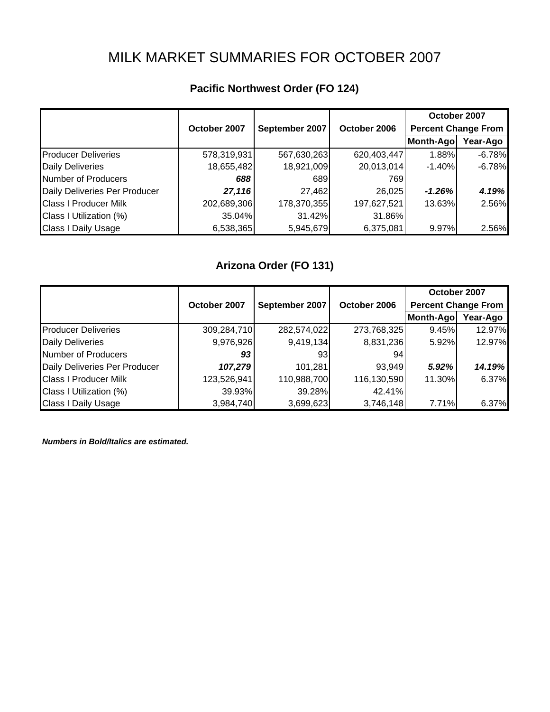# MILK MARKET SUMMARIES FOR OCTOBER 2007

|                               |              |                |              | October 2007               |          |
|-------------------------------|--------------|----------------|--------------|----------------------------|----------|
|                               | October 2007 | September 2007 | October 2006 | <b>Percent Change From</b> |          |
|                               |              |                |              | Month-Ago                  | Year-Ago |
| <b>Producer Deliveries</b>    | 578,319,931  | 567,630,263    | 620,403,447  | 1.88%                      | $-6.78%$ |
| Daily Deliveries              | 18,655,482   | 18,921,009     | 20,013,014   | $-1.40\%$                  | $-6.78%$ |
| Number of Producers           | 688          | 689            | 769          |                            |          |
| Daily Deliveries Per Producer | 27,116       | 27,462         | 26,025       | $-1.26%$                   | 4.19%    |
| Class I Producer Milk         | 202,689,306  | 178,370,355    | 197,627,521  | 13.63%                     | 2.56%    |
| Class I Utilization (%)       | 35.04%       | 31.42%         | 31.86%       |                            |          |
| Class I Daily Usage           | 6,538,365    | 5,945,679      | 6,375,081    | 9.97%                      | 2.56%    |

### **Pacific Northwest Order (FO 124)**

## **Arizona Order (FO 131)**

|                               |              |                |              | October 2007               |          |
|-------------------------------|--------------|----------------|--------------|----------------------------|----------|
|                               | October 2007 | September 2007 | October 2006 | <b>Percent Change From</b> |          |
|                               |              |                |              | Month-Ago                  | Year-Ago |
| <b>Producer Deliveries</b>    | 309,284,710  | 282,574,022    | 273,768,325  | 9.45%                      | 12.97%   |
| <b>Daily Deliveries</b>       | 9,976,926    | 9,419,134      | 8,831,236    | 5.92%                      | 12.97%   |
| <b>Number of Producers</b>    | 93           | 93             | 941          |                            |          |
| Daily Deliveries Per Producer | 107,279      | 101,281        | 93,949       | 5.92%                      | 14.19%   |
| <b>Class I Producer Milk</b>  | 123,526,941  | 110,988,700    | 116,130,590  | 11.30%                     | 6.37%    |
| Class I Utilization (%)       | 39.93%       | 39.28%         | 42.41%       |                            |          |
| <b>Class I Daily Usage</b>    | 3,984,740    | 3,699,623      | 3,746,148    | 7.71%                      | 6.37%    |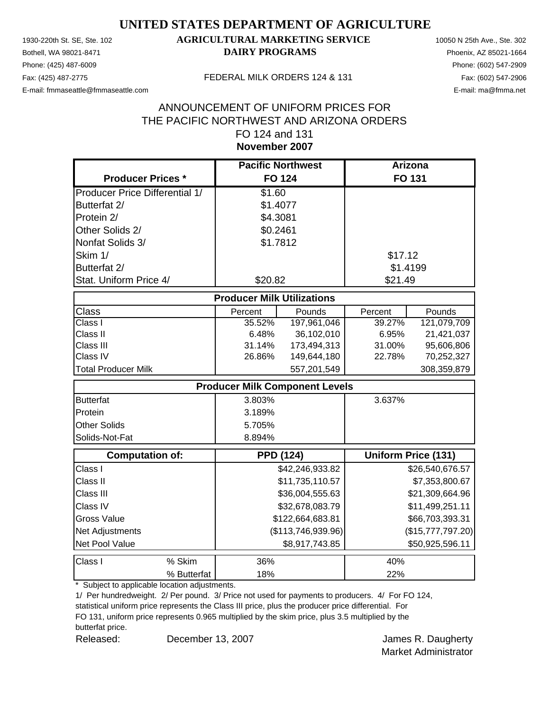Phone: (425) 487-6009 Phone: (602) 547-2909

### 1930-220th St. SE, Ste. 102 **AGRICULTURAL MARKETING SERVICE** 10050 N 25th Ave., Ste. 302 Bothell, WA 98021-8471 **DAIRY PROGRAMS** Phoenix, AZ 85021-1664

E-mail: fmmaseattle@fmmaseattle.com E-mail: ma@fmma.net

#### Fax: (425) 487-2775 FEDERAL MILK ORDERS 124 & 131

### **November 2007** ANNOUNCEMENT OF UNIFORM PRICES FOR THE PACIFIC NORTHWEST AND ARIZONA ORDERS FO 124 and 131

|                                       | <b>Pacific Northwest</b>              |                    | <b>Arizona</b> |                            |
|---------------------------------------|---------------------------------------|--------------------|----------------|----------------------------|
| <b>Producer Prices *</b>              | <b>FO 124</b>                         |                    |                | <b>FO 131</b>              |
| <b>Producer Price Differential 1/</b> | \$1.60                                |                    |                |                            |
| Butterfat 2/                          | \$1.4077                              |                    |                |                            |
| Protein 2/                            | \$4.3081                              |                    |                |                            |
| Other Solids 2/                       | \$0.2461                              |                    |                |                            |
| Nonfat Solids 3/                      | \$1.7812                              |                    |                |                            |
| Skim 1/                               |                                       |                    | \$17.12        |                            |
| Butterfat 2/                          |                                       |                    | \$1.4199       |                            |
| Stat. Uniform Price 4/                | \$20.82                               |                    | \$21.49        |                            |
|                                       | <b>Producer Milk Utilizations</b>     |                    |                |                            |
| <b>Class</b>                          | Percent                               | Pounds             | Percent        | Pounds                     |
| Class I                               | 35.52%                                | 197,961,046        | 39.27%         | 121,079,709                |
| Class II                              | 6.48%                                 | 36,102,010         | 6.95%          | 21,421,037                 |
| Class III                             | 31.14%                                | 173,494,313        | 31.00%         | 95,606,806                 |
| Class IV                              | 26.86%                                | 149,644,180        | 22.78%         | 70,252,327                 |
| <b>Total Producer Milk</b>            |                                       | 557,201,549        |                | 308,359,879                |
|                                       | <b>Producer Milk Component Levels</b> |                    |                |                            |
| <b>Butterfat</b>                      | 3.803%                                |                    | 3.637%         |                            |
| Protein                               | 3.189%                                |                    |                |                            |
| <b>Other Solids</b>                   | 5.705%                                |                    |                |                            |
| Solids-Not-Fat                        | 8.894%                                |                    |                |                            |
| Computation of:                       | <b>PPD (124)</b>                      |                    |                | <b>Uniform Price (131)</b> |
| Class I                               |                                       | \$42,246,933.82    |                | \$26,540,676.57            |
| Class II                              |                                       | \$11,735,110.57    |                | \$7,353,800.67             |
| Class III                             |                                       | \$36,004,555.63    |                | \$21,309,664.96            |
| Class IV                              |                                       | \$32,678,083.79    |                | \$11,499,251.11            |
| <b>Gross Value</b>                    |                                       | \$122,664,683.81   |                | \$66,703,393.31            |
| Net Adjustments                       |                                       | (\$113,746,939.96) |                | (\$15,777,797.20)          |
| Net Pool Value                        |                                       | \$8,917,743.85     |                | \$50,925,596.11            |
| Class I<br>% Skim                     | 36%                                   |                    | 40%            |                            |
| % Butterfat                           | 18%                                   |                    | 22%            |                            |

\* Subject to applicable location adjustments.

1/ Per hundredweight. 2/ Per pound. 3/ Price not used for payments to producers. 4/ For FO 124,

statistical uniform price represents the Class III price, plus the producer price differential. For FO 131, uniform price represents 0.965 multiplied by the skim price, plus 3.5 multiplied by the

butterfat price.

Released: December 13, 2007 Channel Banks R. Daugherty December 13, 2007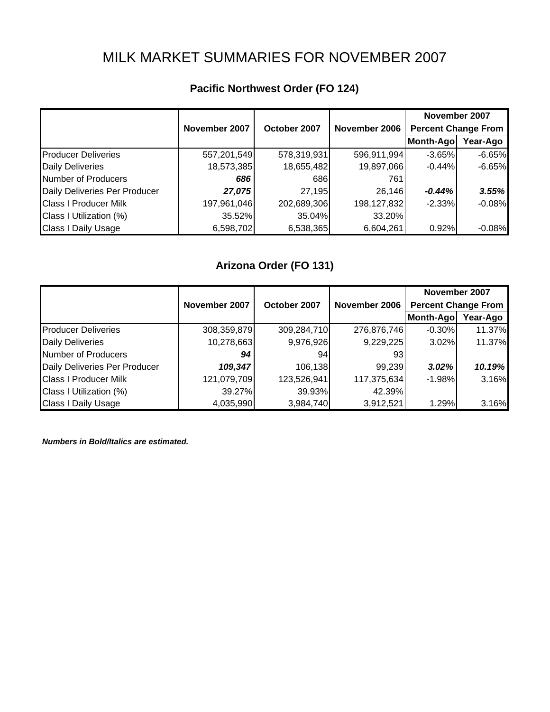# MILK MARKET SUMMARIES FOR NOVEMBER 2007

|                               |               |              |               | November 2007              |          |
|-------------------------------|---------------|--------------|---------------|----------------------------|----------|
|                               | November 2007 | October 2007 | November 2006 | <b>Percent Change From</b> |          |
|                               |               |              |               | Month-Ago                  | Year-Ago |
| <b>Producer Deliveries</b>    | 557,201,549   | 578,319,931  | 596,911,994   | $-3.65%$                   | $-6.65%$ |
| <b>Daily Deliveries</b>       | 18,573,385    | 18,655,482   | 19,897,066    | $-0.44%$                   | $-6.65%$ |
| <b>Number of Producers</b>    | 686           | 686          | 761           |                            |          |
| Daily Deliveries Per Producer | 27,075        | 27,195       | 26,146        | -0.44%                     | 3.55%    |
| <b>Class I Producer Milk</b>  | 197,961,046   | 202,689,306  | 198,127,832   | $-2.33%$                   | $-0.08%$ |
| Class I Utilization (%)       | 35.52%        | 35.04%       | 33.20%        |                            |          |
| Class I Daily Usage           | 6,598,702     | 6,538,365    | 6,604,261     | 0.92%                      | $-0.08%$ |

## **Pacific Northwest Order (FO 124)**

### **Arizona Order (FO 131)**

|                               |               |              |               | November 2007              |          |
|-------------------------------|---------------|--------------|---------------|----------------------------|----------|
|                               | November 2007 | October 2007 | November 2006 | <b>Percent Change From</b> |          |
|                               |               |              |               | Month-Ago                  | Year-Ago |
| <b>Producer Deliveries</b>    | 308,359,879   | 309,284,710  | 276,876,746   | $-0.30\%$                  | 11.37%   |
| <b>Daily Deliveries</b>       | 10,278,663    | 9,976,926    | 9,229,225     | 3.02%                      | 11.37%   |
| <b>Number of Producers</b>    | 94            | 94           | 931           |                            |          |
| Daily Deliveries Per Producer | 109,347       | 106,138      | 99,239        | 3.02%                      | 10.19%   |
| <b>Class I Producer Milk</b>  | 121,079,709   | 123,526,941  | 117,375,634   | $-1.98%$                   | 3.16%    |
| Class I Utilization (%)       | 39.27%        | 39.93%       | 42.39%        |                            |          |
| <b>Class I Daily Usage</b>    | 4,035,990     | 3,984,740    | 3,912,521     | 1.29%                      | 3.16%    |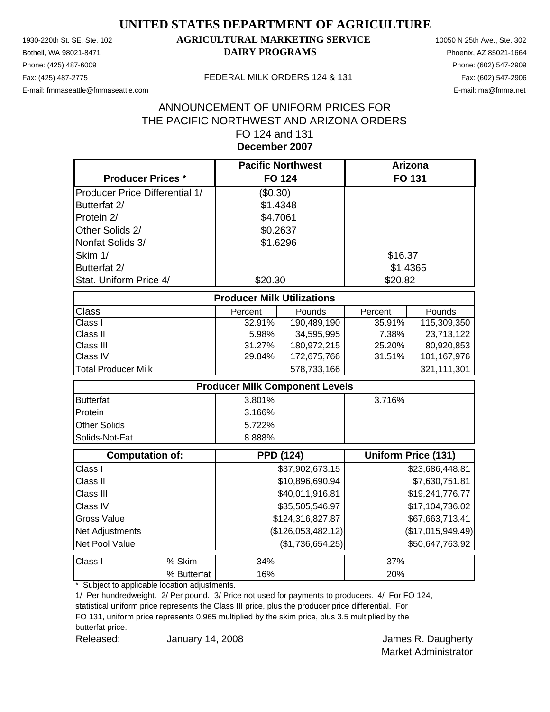Phone: (425) 487-6009 Phone: (602) 547-2909

### 1930-220th St. SE, Ste. 102 **AGRICULTURAL MARKETING SERVICE** 10050 N 25th Ave., Ste. 302 Bothell, WA 98021-8471 **DAIRY PROGRAMS** Phoenix, AZ 85021-1664

E-mail: fmmaseattle@fmmaseattle.com E-mail: ma@fmma.net

#### Fax: (425) 487-2775 FEDERAL MILK ORDERS 124 & 131

### **December 2007** ANNOUNCEMENT OF UNIFORM PRICES FOR THE PACIFIC NORTHWEST AND ARIZONA ORDERS FO 124 and 131

|                                       | <b>Pacific Northwest</b>              |                    | Arizona  |                            |
|---------------------------------------|---------------------------------------|--------------------|----------|----------------------------|
| <b>Producer Prices *</b>              |                                       | <b>FO 124</b>      |          | <b>FO 131</b>              |
| <b>Producer Price Differential 1/</b> | (\$0.30)                              |                    |          |                            |
| Butterfat 2/                          | \$1.4348                              |                    |          |                            |
| Protein 2/                            | \$4.7061                              |                    |          |                            |
| Other Solids 2/                       | \$0.2637                              |                    |          |                            |
| Nonfat Solids 3/                      | \$1.6296                              |                    |          |                            |
| Skim 1/                               |                                       |                    | \$16.37  |                            |
| Butterfat 2/                          |                                       |                    | \$1.4365 |                            |
| Stat. Uniform Price 4/                | \$20.30                               |                    | \$20.82  |                            |
|                                       | <b>Producer Milk Utilizations</b>     |                    |          |                            |
| Class                                 | Percent                               | Pounds             | Percent  | Pounds                     |
| Class I                               | 32.91%                                | 190,489,190        | 35.91%   | 115,309,350                |
| Class II                              | 5.98%                                 | 34,595,995         | 7.38%    | 23,713,122                 |
| Class III                             | 31.27%                                | 180,972,215        | 25.20%   | 80,920,853                 |
| Class IV                              | 29.84%                                | 172,675,766        | 31.51%   | 101,167,976                |
| <b>Total Producer Milk</b>            |                                       | 578,733,166        |          | 321,111,301                |
|                                       | <b>Producer Milk Component Levels</b> |                    |          |                            |
| <b>Butterfat</b>                      | 3.801%                                |                    | 3.716%   |                            |
| Protein                               | 3.166%                                |                    |          |                            |
| <b>Other Solids</b>                   | 5.722%                                |                    |          |                            |
| Solids-Not-Fat                        | 8.888%                                |                    |          |                            |
| <b>Computation of:</b>                |                                       | <b>PPD (124)</b>   |          | <b>Uniform Price (131)</b> |
| Class I                               |                                       | \$37,902,673.15    |          | \$23,686,448.81            |
| Class II                              |                                       | \$10,896,690.94    |          | \$7,630,751.81             |
| Class III                             |                                       | \$40,011,916.81    |          | \$19,241,776.77            |
| Class IV                              |                                       | \$35,505,546.97    |          | \$17,104,736.02            |
| <b>Gross Value</b>                    |                                       | \$124,316,827.87   |          | \$67,663,713.41            |
| Net Adjustments                       |                                       | (\$126,053,482.12) |          | (\$17,015,949.49)          |
| Net Pool Value                        |                                       | (\$1,736,654.25)   |          | \$50,647,763.92            |
| % Skim<br>Class I                     | 34%                                   |                    | 37%      |                            |
| % Butterfat                           | 16%                                   |                    | 20%      |                            |

\* Subject to applicable location adjustments.

1/ Per hundredweight. 2/ Per pound. 3/ Price not used for payments to producers. 4/ For FO 124,

statistical uniform price represents the Class III price, plus the producer price differential. For FO 131, uniform price represents 0.965 multiplied by the skim price, plus 3.5 multiplied by the butterfat price.

Released: **January 14, 2008 Container Manual Accord Manual Accord Manual Accord Manual Accord Manual Accord Manual Accord Manual Accord Manual Accord Manual Accord Manual Accord Manual Accord Manual Accord Manual Accord** January 14, 2008